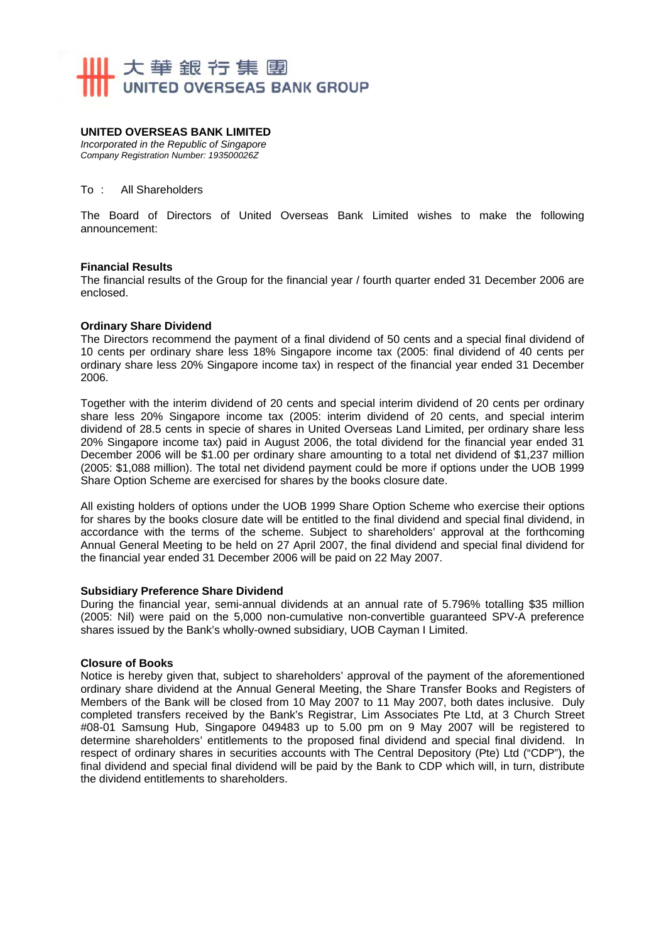

#### **UNITED OVERSEAS BANK LIMITED**

*Incorporated in the Republic of Singapore Company Registration Number: 193500026Z* 

#### To : All Shareholders

The Board of Directors of United Overseas Bank Limited wishes to make the following announcement:

#### **Financial Results**

The financial results of the Group for the financial year / fourth quarter ended 31 December 2006 are enclosed.

#### **Ordinary Share Dividend**

The Directors recommend the payment of a final dividend of 50 cents and a special final dividend of 10 cents per ordinary share less 18% Singapore income tax (2005: final dividend of 40 cents per ordinary share less 20% Singapore income tax) in respect of the financial year ended 31 December 2006.

Together with the interim dividend of 20 cents and special interim dividend of 20 cents per ordinary share less 20% Singapore income tax (2005: interim dividend of 20 cents, and special interim dividend of 28.5 cents in specie of shares in United Overseas Land Limited, per ordinary share less 20% Singapore income tax) paid in August 2006, the total dividend for the financial year ended 31 December 2006 will be \$1.00 per ordinary share amounting to a total net dividend of \$1,237 million (2005: \$1,088 million). The total net dividend payment could be more if options under the UOB 1999 Share Option Scheme are exercised for shares by the books closure date.

All existing holders of options under the UOB 1999 Share Option Scheme who exercise their options for shares by the books closure date will be entitled to the final dividend and special final dividend, in accordance with the terms of the scheme. Subject to shareholders' approval at the forthcoming Annual General Meeting to be held on 27 April 2007, the final dividend and special final dividend for the financial year ended 31 December 2006 will be paid on 22 May 2007.

#### **Subsidiary Preference Share Dividend**

During the financial year, semi-annual dividends at an annual rate of 5.796% totalling \$35 million (2005: Nil) were paid on the 5,000 non-cumulative non-convertible guaranteed SPV-A preference shares issued by the Bank's wholly-owned subsidiary, UOB Cayman I Limited.

#### **Closure of Books**

Notice is hereby given that, subject to shareholders' approval of the payment of the aforementioned ordinary share dividend at the Annual General Meeting, the Share Transfer Books and Registers of Members of the Bank will be closed from 10 May 2007 to 11 May 2007, both dates inclusive. Duly completed transfers received by the Bank's Registrar, Lim Associates Pte Ltd, at 3 Church Street #08-01 Samsung Hub, Singapore 049483 up to 5.00 pm on 9 May 2007 will be registered to determine shareholders' entitlements to the proposed final dividend and special final dividend. In respect of ordinary shares in securities accounts with The Central Depository (Pte) Ltd ("CDP"), the final dividend and special final dividend will be paid by the Bank to CDP which will, in turn, distribute the dividend entitlements to shareholders.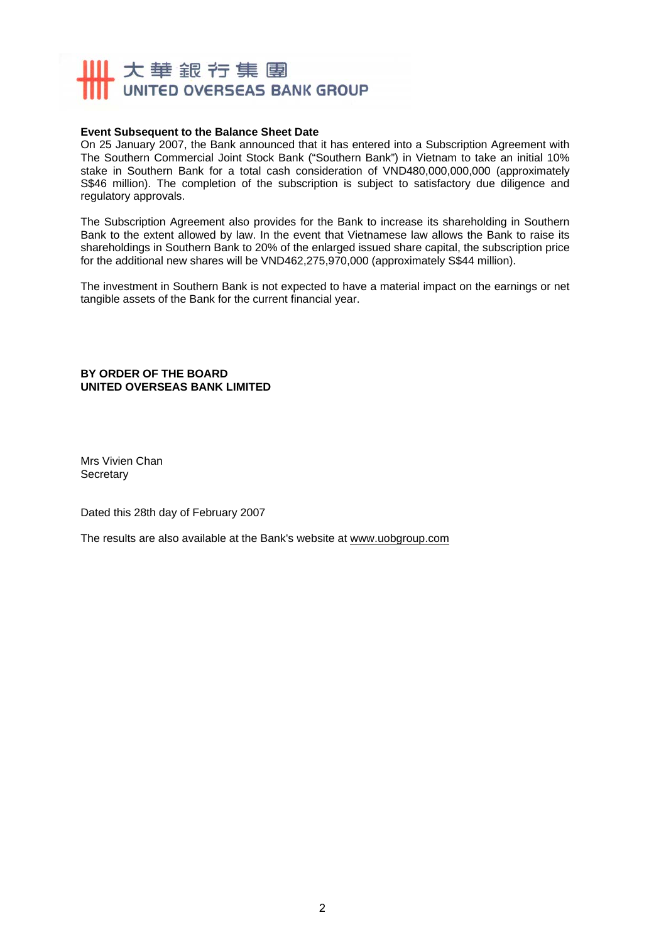## 11 大華銀行集團 UNITED OVERSEAS BANK GROUP

#### **Event Subsequent to the Balance Sheet Date**

On 25 January 2007, the Bank announced that it has entered into a Subscription Agreement with The Southern Commercial Joint Stock Bank ("Southern Bank") in Vietnam to take an initial 10% stake in Southern Bank for a total cash consideration of VND480,000,000,000 (approximately S\$46 million). The completion of the subscription is subject to satisfactory due diligence and regulatory approvals.

The Subscription Agreement also provides for the Bank to increase its shareholding in Southern Bank to the extent allowed by law. In the event that Vietnamese law allows the Bank to raise its shareholdings in Southern Bank to 20% of the enlarged issued share capital, the subscription price for the additional new shares will be VND462,275,970,000 (approximately S\$44 million).

The investment in Southern Bank is not expected to have a material impact on the earnings or net tangible assets of the Bank for the current financial year.

**BY ORDER OF THE BOARD UNITED OVERSEAS BANK LIMITED** 

Mrs Vivien Chan **Secretary** 

Dated this 28th day of February 2007

The results are also available at the Bank's website at www.uobgroup.com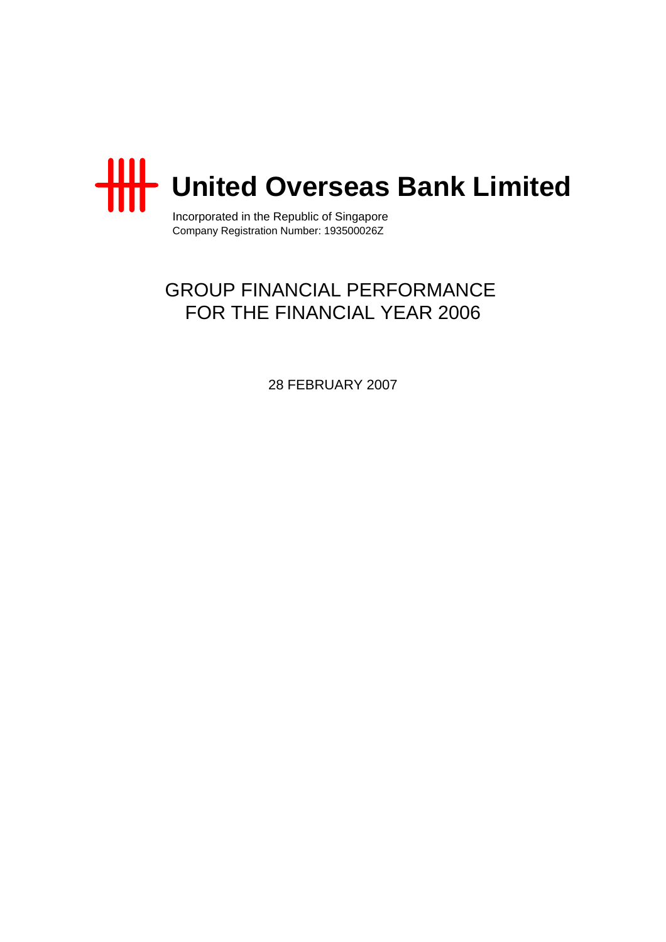

Incorporated in the Republic of Singapore Company Registration Number: 193500026Z

# GROUP FINANCIAL PERFORMANCE FOR THE FINANCIAL YEAR 2006

28 FEBRUARY 2007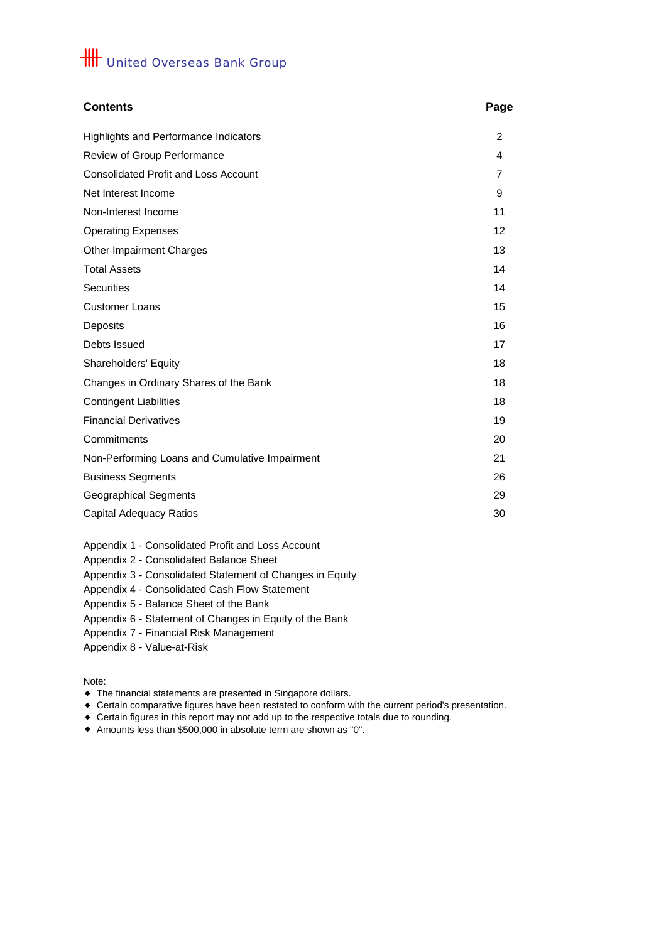| <b>Contents</b>                                | Page           |
|------------------------------------------------|----------------|
| <b>Highlights and Performance Indicators</b>   | $\overline{2}$ |
| Review of Group Performance                    | 4              |
| <b>Consolidated Profit and Loss Account</b>    | $\overline{7}$ |
| Net Interest Income                            | 9              |
| Non-Interest Income                            | 11             |
| <b>Operating Expenses</b>                      | 12             |
| <b>Other Impairment Charges</b>                | 13             |
| <b>Total Assets</b>                            | 14             |
| <b>Securities</b>                              | 14             |
| <b>Customer Loans</b>                          | 15             |
| Deposits                                       | 16             |
| Debts Issued                                   | 17             |
| Shareholders' Equity                           | 18             |
| Changes in Ordinary Shares of the Bank         | 18             |
| <b>Contingent Liabilities</b>                  | 18             |
| <b>Financial Derivatives</b>                   | 19             |
| Commitments                                    | 20             |
| Non-Performing Loans and Cumulative Impairment | 21             |
| <b>Business Segments</b>                       | 26             |
| <b>Geographical Segments</b>                   | 29             |
| <b>Capital Adequacy Ratios</b>                 | 30             |

Appendix 1 - Consolidated Profit and Loss Account

Appendix 2 - Consolidated Balance Sheet

Appendix 3 - Consolidated Statement of Changes in Equity

Appendix 4 - Consolidated Cash Flow Statement

Appendix 5 - Balance Sheet of the Bank

Appendix 6 - Statement of Changes in Equity of the Bank

Appendix 7 - Financial Risk Management

Appendix 8 - Value-at-Risk

Note:

- The financial statements are presented in Singapore dollars.
- Certain comparative figures have been restated to conform with the current period's presentation.
- Certain figures in this report may not add up to the respective totals due to rounding.
- Amounts less than \$500,000 in absolute term are shown as "0".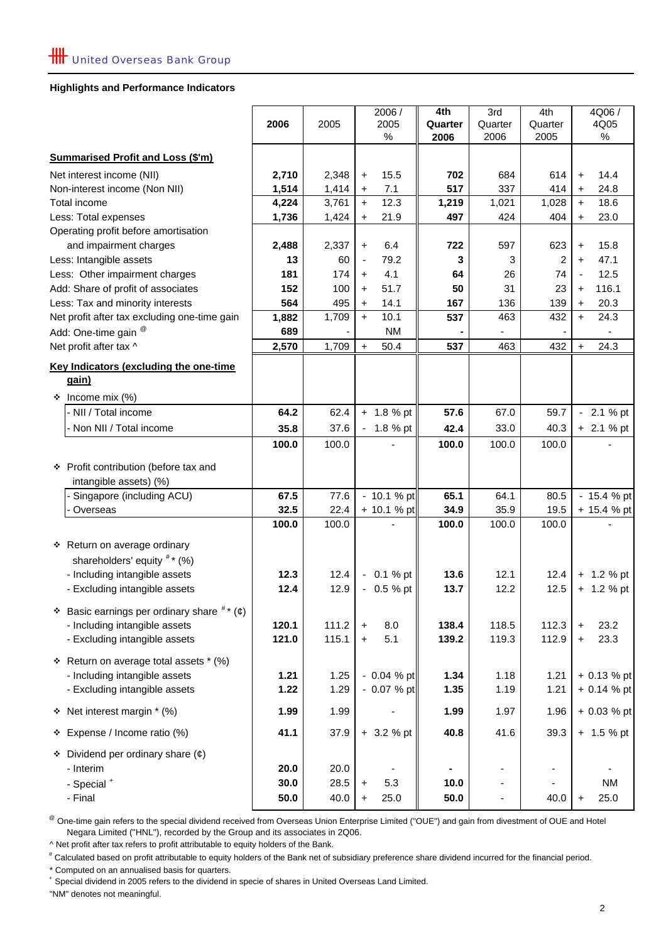#### **Highlights and Performance Indicators**

|                                                         |       |               | 2006 /                           | 4th     | 3rd           | 4th           | 4Q06 /                           |
|---------------------------------------------------------|-------|---------------|----------------------------------|---------|---------------|---------------|----------------------------------|
|                                                         | 2006  | 2005          | 2005                             | Quarter | Quarter       | Quarter       | 4Q05                             |
|                                                         |       |               | $\%$                             | 2006    | 2006          | 2005          | %                                |
| <b>Summarised Profit and Loss (\$'m)</b>                |       |               |                                  |         |               |               |                                  |
| Net interest income (NII)                               | 2,710 | 2,348         | 15.5<br>$\ddot{}$                | 702     | 684           | 614           | 14.4<br>$\ddot{}$                |
| Non-interest income (Non NII)                           | 1,514 | 1,414         | 7.1<br>$\ddot{}$                 | 517     | 337           | 414           | 24.8<br>$\ddot{}$                |
| Total income                                            | 4,224 | 3,761         | 12.3<br>$+$                      | 1,219   | 1,021         | 1,028         | 18.6<br>$+$                      |
| Less: Total expenses                                    | 1,736 | 1,424         | 21.9<br>$\ddot{}$                | 497     | 424           | 404           | 23.0<br>$\ddot{}$                |
| Operating profit before amortisation                    |       |               |                                  |         |               |               |                                  |
| and impairment charges                                  | 2,488 | 2,337         | 6.4<br>$\ddot{}$                 | 722     | 597           | 623           | 15.8<br>$\ddot{}$                |
| Less: Intangible assets                                 | 13    | 60            | 79.2<br>$\overline{\phantom{a}}$ | 3       | 3             | 2             | 47.1<br>+                        |
| Less: Other impairment charges                          | 181   | 174           | 4.1<br>$\ddot{}$                 | 64      | 26            | 74            | 12.5<br>$\overline{\phantom{a}}$ |
| Add: Share of profit of associates                      | 152   | 100           | 51.7<br>$+$                      | 50      | 31            | 23            | 116.1<br>$\ddot{}$               |
| Less: Tax and minority interests                        | 564   | 495           | 14.1<br>$\ddot{}$                | 167     | 136           | 139           | 20.3<br>+                        |
| Net profit after tax excluding one-time gain            | 1,882 | 1,709         | $+$<br>10.1                      | 537     | 463           | 432           | $\ddot{}$<br>24.3                |
| Add: One-time gain <sup>@</sup>                         | 689   |               | <b>NM</b>                        |         |               |               |                                  |
| Net profit after tax ^                                  | 2,570 | 1,709         | 50.4<br>$\ddot{}$                | 537     | 463           | 432           | 24.3<br>$\ddot{}$                |
| Key Indicators (excluding the one-time                  |       |               |                                  |         |               |               |                                  |
| gain)                                                   |       |               |                                  |         |               |               |                                  |
| Income mix (%)<br>❖                                     |       |               |                                  |         |               |               |                                  |
| - NII / Total income                                    | 64.2  | 62.4          | $+ 1.8 \%$ pt                    | 57.6    | 67.0          | 59.7          | $-2.1%$ pt                       |
| - Non NII / Total income                                | 35.8  | 37.6          | 1.8 % pt                         | 42.4    | 33.0          | 40.3          | $+ 2.1 %$ pt                     |
|                                                         | 100.0 | 100.0         |                                  | 100.0   | 100.0         | 100.0         |                                  |
|                                                         |       |               |                                  |         |               |               |                                  |
| * Profit contribution (before tax and                   |       |               |                                  |         |               |               |                                  |
| intangible assets) (%)                                  |       |               |                                  |         |               |               |                                  |
| Singapore (including ACU)                               | 67.5  | 77.6          | - 10.1 % pt                      | 65.1    | 64.1          | 80.5          | - 15.4 % pt                      |
| Overseas                                                | 32.5  | 22.4<br>100.0 | + 10.1 % pt                      | 34.9    | 35.9<br>100.0 | 19.5<br>100.0 | + 15.4 % pt                      |
|                                                         | 100.0 |               |                                  | 100.0   |               |               |                                  |
| * Return on average ordinary                            |       |               |                                  |         |               |               |                                  |
| shareholders' equity $^{\#*}$ (%)                       |       |               |                                  |         |               |               |                                  |
| - Including intangible assets                           | 12.3  | 12.4          | $-0.1%$ pt                       | 13.6    | 12.1          | 12.4          | $+ 1.2 %$ pt                     |
| - Excluding intangible assets                           | 12.4  | 12.9          | $-0.5 \%$ pt                     | 13.7    | 12.2          | 12.5          | $+ 1.2 %$ pt                     |
| Basic earnings per ordinary share $\pi$ ( $\phi$ )<br>❖ |       |               |                                  |         |               |               |                                  |
| - Including intangible assets                           | 120.1 | 111.2         | 8.0                              | 138.4   | 118.5         | 112.3         | 23.2                             |
| - Excluding intangible assets                           | 121.0 | 115.1         | $\ddot{}$<br>5.1                 | 139.2   | 119.3         | 112.9         | $\ddot{}$<br>23.3                |
|                                                         |       |               | $\ddot{}$                        |         |               |               | $\ddot{}$                        |
| * Return on average total assets * (%)                  |       |               |                                  |         |               |               |                                  |
| - Including intangible assets                           | 1.21  | 1.25          | $-0.04 \%$ pt                    | 1.34    | 1.18          | 1.21          | + 0.13 % pt                      |
| - Excluding intangible assets                           | 1.22  | 1.29          | $-0.07%$ pt                      | 1.35    | 1.19          | 1.21          | + 0.14 % pt                      |
| Net interest margin * (%)<br>❖                          | 1.99  | 1.99          |                                  | 1.99    | 1.97          | 1.96          | + 0.03 % pt                      |
| Expense / Income ratio (%)<br>۰                         | 41.1  | 37.9          | $+ 3.2 %$ pt                     | 40.8    | 41.6          | 39.3          | $+ 1.5 %$ pt                     |
| Dividend per ordinary share $(\phi)$<br>❖               |       |               |                                  |         |               |               |                                  |
| - Interim                                               | 20.0  | 20.0          |                                  |         | -             |               |                                  |
| - Special +                                             | 30.0  | 28.5          | 5.3<br>$\ddot{}$                 | 10.0    | ٠             |               | <b>NM</b>                        |
| - Final                                                 | 50.0  | 40.0          | 25.0<br>$\ddot{}$                | 50.0    | ۰             | 40.0          | 25.0<br>+                        |
|                                                         |       |               |                                  |         |               |               |                                  |

<sup>@</sup> One-time gain refers to the special dividend received from Overseas Union Enterprise Limited ("OUE") and gain from divestment of OUE and Hotel Negara Limited ("HNL"), recorded by the Group and its associates in 2Q06.

^ Net profit after tax refers to profit attributable to equity holders of the Bank.

# Calculated based on profit attributable to equity holders of the Bank net of subsidiary preference share dividend incurred for the financial period.

\* Computed on an annualised basis for quarters.

+ Special dividend in 2005 refers to the dividend in specie of shares in United Overseas Land Limited.

"NM" denotes not meaningful.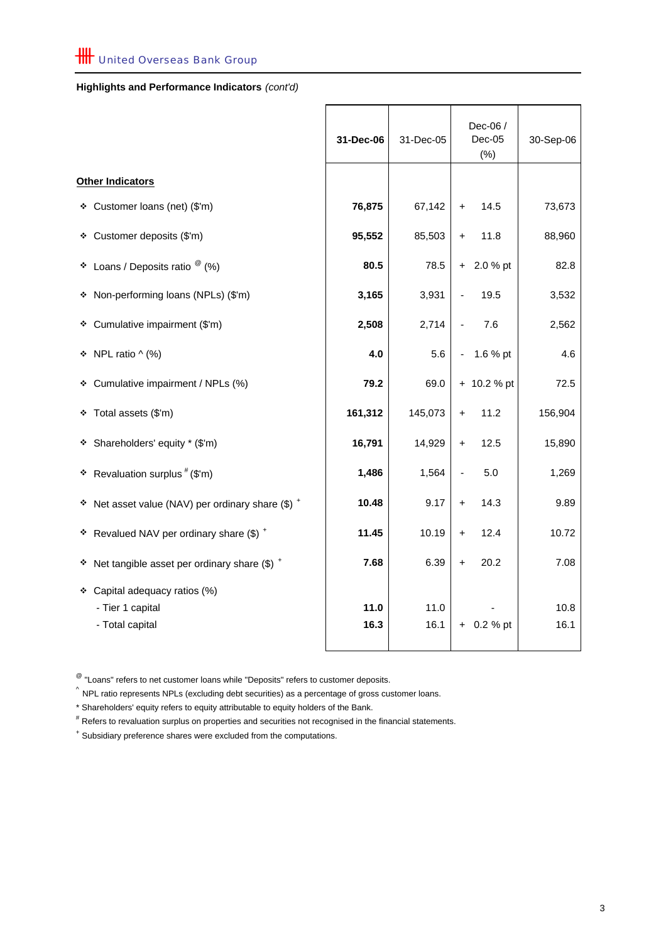## **Highlights and Performance Indicators** *(cont'd)*

|                                                                      | 31-Dec-06    | 31-Dec-05    |                          | Dec-06 /<br>$Dec-05$<br>(% ) | 30-Sep-06    |
|----------------------------------------------------------------------|--------------|--------------|--------------------------|------------------------------|--------------|
| <b>Other Indicators</b>                                              |              |              |                          |                              |              |
| ❖ Customer loans (net) (\$'m)                                        | 76,875       | 67,142       | $+$                      | 14.5                         | 73,673       |
| ❖ Customer deposits (\$'m)                                           | 95,552       | 85,503       | $+$                      | 11.8                         | 88,960       |
| ❖ Loans / Deposits ratio $^@$ (%)                                    | 80.5         | 78.5         |                          | $+ 2.0 %$ pt                 | 82.8         |
| * Non-performing loans (NPLs) (\$'m)                                 | 3,165        | 3,931        |                          | 19.5                         | 3,532        |
| Cumulative impairment (\$'m)<br>٠                                    | 2,508        | 2,714        |                          | 7.6                          | 2,562        |
| $\div$ NPL ratio ^ (%)                                               | 4.0          | 5.6          | $\overline{\phantom{0}}$ | 1.6 % pt                     | 4.6          |
| ❖ Cumulative impairment / NPLs (%)                                   | 79.2         | 69.0         |                          | + 10.2 % pt                  | 72.5         |
| Total assets (\$'m)<br>٠                                             | 161,312      | 145,073      | $\ddot{}$                | 11.2                         | 156,904      |
| Shareholders' equity * (\$'m)<br>٠                                   | 16,791       | 14,929       | $\ddot{}$                | 12.5                         | 15,890       |
| Revaluation surplus # (\$'m)<br>٠                                    | 1,486        | 1,564        | $\overline{\phantom{0}}$ | 5.0                          | 1,269        |
| Net asset value (NAV) per ordinary share $(\$)$ +<br>÷.              | 10.48        | 9.17         | $\ddot{}$                | 14.3                         | 9.89         |
| * Revalued NAV per ordinary share $(\$)$ +                           | 11.45        | 10.19        | $\ddot{}$                | 12.4                         | 10.72        |
| $*$ Net tangible asset per ordinary share (\$) $*$                   | 7.68         | 6.39         | $\ddot{}$                | 20.2                         | 7.08         |
| * Capital adequacy ratios (%)<br>- Tier 1 capital<br>- Total capital | 11.0<br>16.3 | 11.0<br>16.1 |                          | $+ 0.2 %$ pt                 | 10.8<br>16.1 |

 $^{\circledR}$  "Loans" refers to net customer loans while "Deposits" refers to customer deposits.

 $\hat{ }$  NPL ratio represents NPLs (excluding debt securities) as a percentage of gross customer loans.

\* Shareholders' equity refers to equity attributable to equity holders of the Bank.

# Refers to revaluation surplus on properties and securities not recognised in the financial statements.

+ Subsidiary preference shares were excluded from the computations.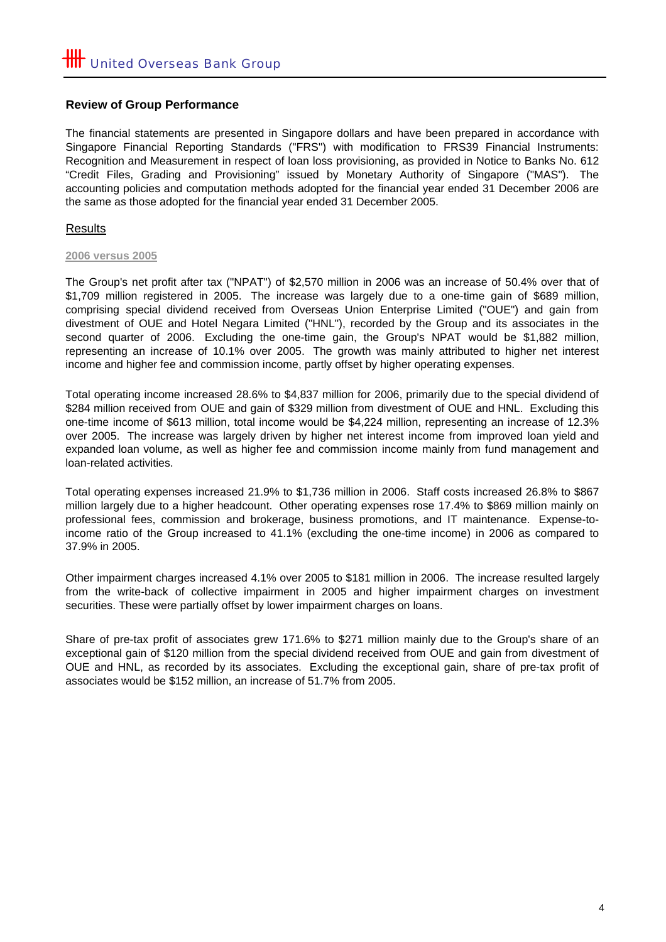## **Review of Group Performance**

The financial statements are presented in Singapore dollars and have been prepared in accordance with Singapore Financial Reporting Standards ("FRS") with modification to FRS39 Financial Instruments: Recognition and Measurement in respect of loan loss provisioning, as provided in Notice to Banks No. 612 "Credit Files, Grading and Provisioning" issued by Monetary Authority of Singapore ("MAS"). The accounting policies and computation methods adopted for the financial year ended 31 December 2006 are the same as those adopted for the financial year ended 31 December 2005.

## Results

#### **2006 versus 2005**

The Group's net profit after tax ("NPAT") of \$2,570 million in 2006 was an increase of 50.4% over that of \$1,709 million registered in 2005. The increase was largely due to a one-time gain of \$689 million, comprising special dividend received from Overseas Union Enterprise Limited ("OUE") and gain from divestment of OUE and Hotel Negara Limited ("HNL"), recorded by the Group and its associates in the second quarter of 2006. Excluding the one-time gain, the Group's NPAT would be \$1,882 million, representing an increase of 10.1% over 2005. The growth was mainly attributed to higher net interest income and higher fee and commission income, partly offset by higher operating expenses.

Total operating income increased 28.6% to \$4,837 million for 2006, primarily due to the special dividend of \$284 million received from OUE and gain of \$329 million from divestment of OUE and HNL. Excluding this one-time income of \$613 million, total income would be \$4,224 million, representing an increase of 12.3% over 2005. The increase was largely driven by higher net interest income from improved loan yield and expanded loan volume, as well as higher fee and commission income mainly from fund management and loan-related activities.

Total operating expenses increased 21.9% to \$1,736 million in 2006. Staff costs increased 26.8% to \$867 million largely due to a higher headcount. Other operating expenses rose 17.4% to \$869 million mainly on professional fees, commission and brokerage, business promotions, and IT maintenance. Expense-toincome ratio of the Group increased to 41.1% (excluding the one-time income) in 2006 as compared to 37.9% in 2005.

Other impairment charges increased 4.1% over 2005 to \$181 million in 2006. The increase resulted largely from the write-back of collective impairment in 2005 and higher impairment charges on investment securities. These were partially offset by lower impairment charges on loans.

Share of pre-tax profit of associates grew 171.6% to \$271 million mainly due to the Group's share of an exceptional gain of \$120 million from the special dividend received from OUE and gain from divestment of OUE and HNL, as recorded by its associates. Excluding the exceptional gain, share of pre-tax profit of associates would be \$152 million, an increase of 51.7% from 2005.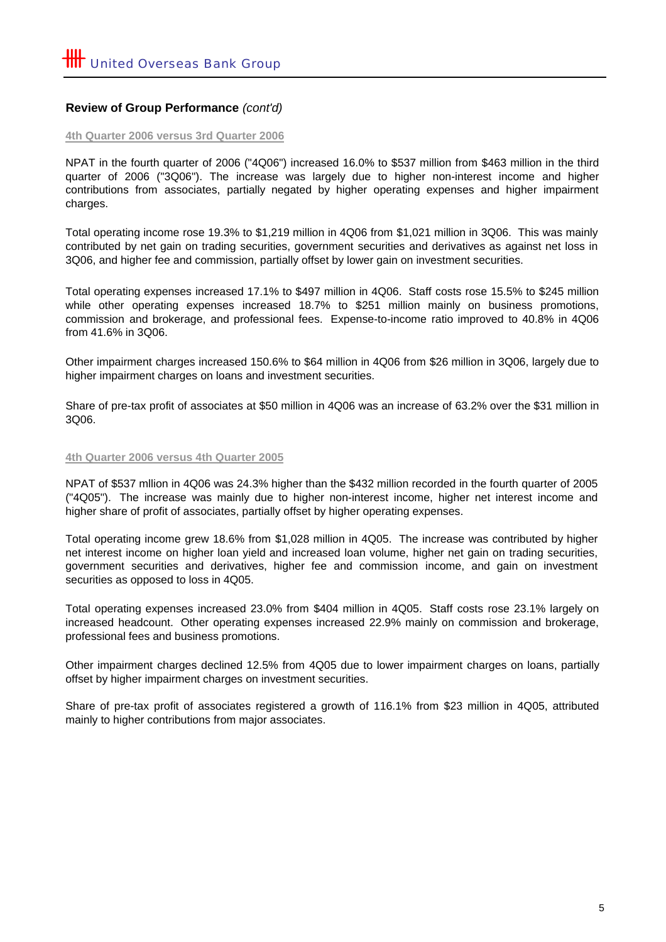## **Review of Group Performance** *(cont'd)*

#### **4th Quarter 2006 versus 3rd Quarter 2006**

NPAT in the fourth quarter of 2006 ("4Q06") increased 16.0% to \$537 million from \$463 million in the third quarter of 2006 ("3Q06"). The increase was largely due to higher non-interest income and higher contributions from associates, partially negated by higher operating expenses and higher impairment charges.

Total operating income rose 19.3% to \$1,219 million in 4Q06 from \$1,021 million in 3Q06. This was mainly contributed by net gain on trading securities, government securities and derivatives as against net loss in 3Q06, and higher fee and commission, partially offset by lower gain on investment securities.

Total operating expenses increased 17.1% to \$497 million in 4Q06. Staff costs rose 15.5% to \$245 million while other operating expenses increased 18.7% to \$251 million mainly on business promotions, commission and brokerage, and professional fees. Expense-to-income ratio improved to 40.8% in 4Q06 from 41.6% in 3Q06.

Other impairment charges increased 150.6% to \$64 million in 4Q06 from \$26 million in 3Q06, largely due to higher impairment charges on loans and investment securities.

Share of pre-tax profit of associates at \$50 million in 4Q06 was an increase of 63.2% over the \$31 million in 3Q06.

#### **4th Quarter 2006 versus 4th Quarter 2005**

NPAT of \$537 mllion in 4Q06 was 24.3% higher than the \$432 million recorded in the fourth quarter of 2005 ("4Q05"). The increase was mainly due to higher non-interest income, higher net interest income and higher share of profit of associates, partially offset by higher operating expenses.

Total operating income grew 18.6% from \$1,028 million in 4Q05. The increase was contributed by higher net interest income on higher loan yield and increased loan volume, higher net gain on trading securities, government securities and derivatives, higher fee and commission income, and gain on investment securities as opposed to loss in 4Q05.

Total operating expenses increased 23.0% from \$404 million in 4Q05. Staff costs rose 23.1% largely on increased headcount. Other operating expenses increased 22.9% mainly on commission and brokerage, professional fees and business promotions.

Other impairment charges declined 12.5% from 4Q05 due to lower impairment charges on loans, partially offset by higher impairment charges on investment securities.

Share of pre-tax profit of associates registered a growth of 116.1% from \$23 million in 4Q05, attributed mainly to higher contributions from major associates.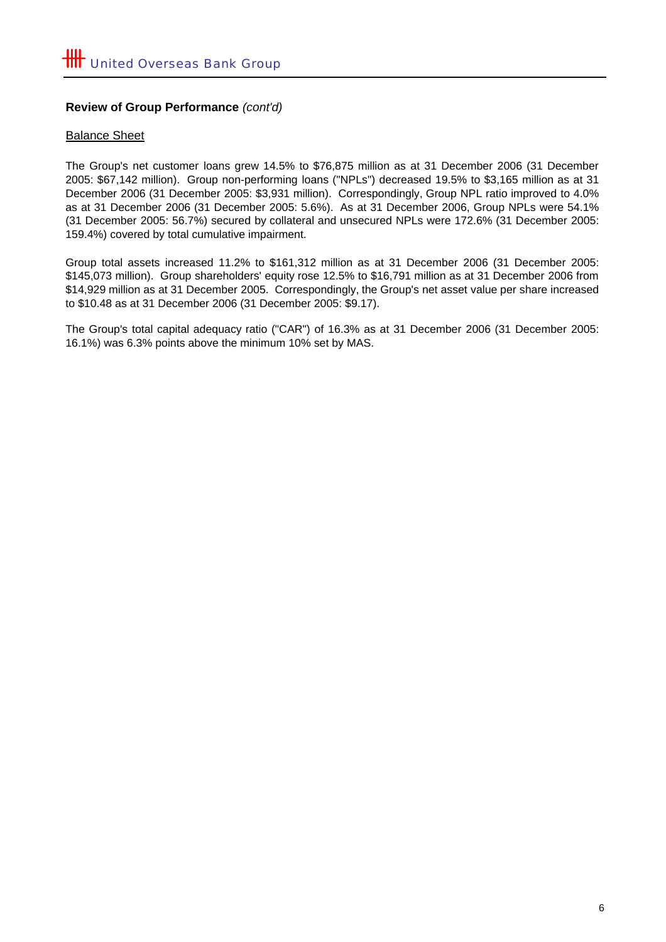## **Review of Group Performance** *(cont'd)*

### Balance Sheet

The Group's net customer loans grew 14.5% to \$76,875 million as at 31 December 2006 (31 December 2005: \$67,142 million). Group non-performing loans ("NPLs") decreased 19.5% to \$3,165 million as at 31 December 2006 (31 December 2005: \$3,931 million). Correspondingly, Group NPL ratio improved to 4.0% as at 31 December 2006 (31 December 2005: 5.6%). As at 31 December 2006, Group NPLs were 54.1% (31 December 2005: 56.7%) secured by collateral and unsecured NPLs were 172.6% (31 December 2005: 159.4%) covered by total cumulative impairment.

Group total assets increased 11.2% to \$161,312 million as at 31 December 2006 (31 December 2005: \$145,073 million). Group shareholders' equity rose 12.5% to \$16,791 million as at 31 December 2006 from \$14,929 million as at 31 December 2005. Correspondingly, the Group's net asset value per share increased to \$10.48 as at 31 December 2006 (31 December 2005: \$9.17).

The Group's total capital adequacy ratio ("CAR") of 16.3% as at 31 December 2006 (31 December 2005: 16.1%) was 6.3% points above the minimum 10% set by MAS.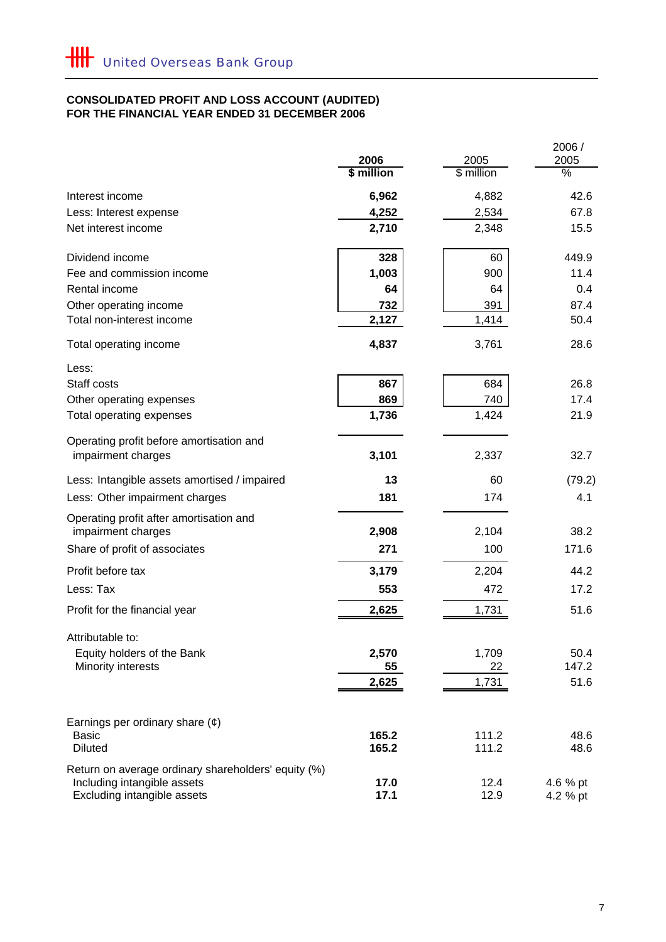#### **FOR THE FINANCIAL YEAR ENDED 31 DECEMBER 2006 CONSOLIDATED PROFIT AND LOSS ACCOUNT (AUDITED)**

|                                                               |              |              | 2006 /          |
|---------------------------------------------------------------|--------------|--------------|-----------------|
|                                                               | 2006         | 2005         | 2005            |
|                                                               | \$ million   | \$ million   | $\overline{\%}$ |
| Interest income                                               | 6,962        | 4,882        | 42.6            |
| Less: Interest expense                                        | 4,252        | 2,534        | 67.8            |
| Net interest income                                           | 2,710        | 2,348        | 15.5            |
| Dividend income                                               | 328          | 60           | 449.9           |
| Fee and commission income                                     | 1,003        | 900          | 11.4            |
| Rental income                                                 | 64           | 64           | 0.4             |
| Other operating income                                        | 732          | 391          | 87.4            |
| Total non-interest income                                     | 2,127        | 1,414        | 50.4            |
| Total operating income                                        | 4,837        | 3,761        | 28.6            |
| Less:                                                         |              |              |                 |
| Staff costs                                                   | 867          | 684          | 26.8            |
| Other operating expenses                                      | 869          | 740          | 17.4            |
| Total operating expenses                                      | 1,736        | 1,424        | 21.9            |
| Operating profit before amortisation and                      |              |              |                 |
| impairment charges                                            | 3,101        | 2,337        | 32.7            |
| Less: Intangible assets amortised / impaired                  | 13           | 60           | (79.2)          |
| Less: Other impairment charges                                | 181          | 174          | 4.1             |
| Operating profit after amortisation and<br>impairment charges | 2,908        | 2,104        | 38.2            |
| Share of profit of associates                                 | 271          | 100          | 171.6           |
| Profit before tax                                             | 3,179        | 2,204        | 44.2            |
| Less: Tax                                                     | 553          | 472          | 17.2            |
| Profit for the financial year                                 | 2,625        | 1,731        | 51.6            |
| Attributable to:                                              |              |              |                 |
| Equity holders of the Bank                                    | 2,570        | 1,709        | 50.4            |
| Minority interests                                            | 55           | 22           | 147.2           |
|                                                               | 2,625        | 1,731        | 51.6            |
| Earnings per ordinary share $(\phi)$                          |              |              |                 |
| <b>Basic</b>                                                  | 165.2        | 111.2        | 48.6            |
| <b>Diluted</b>                                                | 165.2        | 111.2        | 48.6            |
| Return on average ordinary shareholders' equity (%)           |              |              |                 |
| Including intangible assets<br>Excluding intangible assets    | 17.0<br>17.1 | 12.4<br>12.9 | 4.6 % pt        |
|                                                               |              |              | 4.2 % pt        |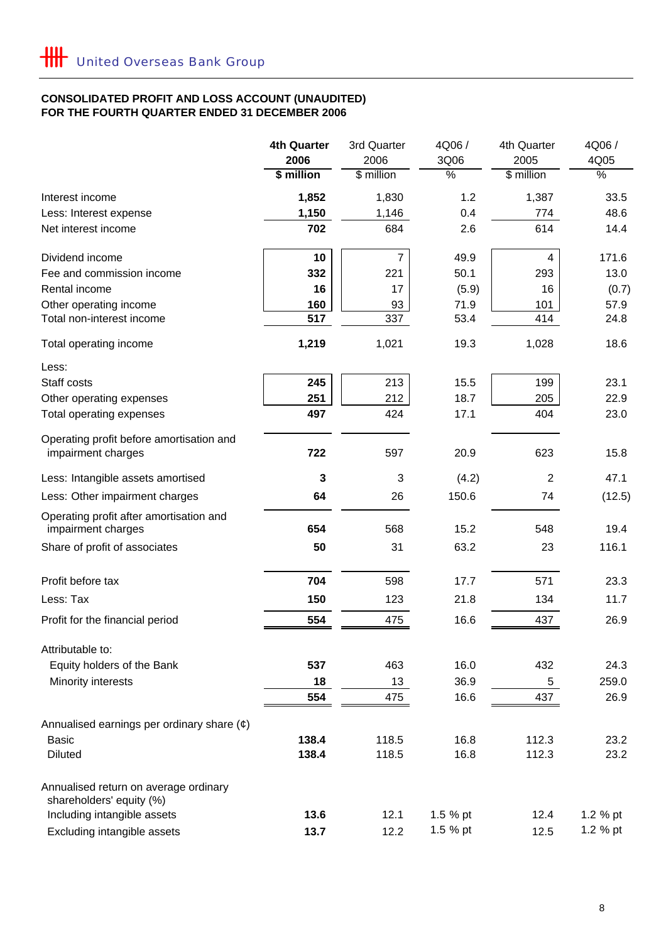## **CONSOLIDATED PROFIT AND LOSS ACCOUNT (UNAUDITED) FOR THE FOURTH QUARTER ENDED 31 DECEMBER 2006**

|                                                                   | <b>4th Quarter</b> | 3rd Quarter    | 4Q06 /        | 4th Quarter    | 4Q06 /        |
|-------------------------------------------------------------------|--------------------|----------------|---------------|----------------|---------------|
|                                                                   | 2006               | 2006           | 3Q06          | 2005           | 4Q05          |
|                                                                   | \$ million         | \$ million     | $\frac{0}{6}$ | \$ million     | $\frac{8}{6}$ |
| Interest income                                                   | 1,852              | 1,830          | 1.2           | 1,387          | 33.5          |
| Less: Interest expense                                            | 1,150              | 1,146          | 0.4           | 774            | 48.6          |
| Net interest income                                               | 702                | 684            | 2.6           | 614            | 14.4          |
| Dividend income                                                   | 10                 | $\overline{7}$ | 49.9          | 4              | 171.6         |
| Fee and commission income                                         | 332                | 221            | 50.1          | 293            | 13.0          |
| Rental income                                                     | 16                 | 17             | (5.9)         | 16             | (0.7)         |
| Other operating income                                            | 160                | 93             | 71.9          | 101            | 57.9          |
| Total non-interest income                                         | 517                | 337            | 53.4          | 414            | 24.8          |
| Total operating income                                            | 1,219              | 1,021          | 19.3          | 1,028          | 18.6          |
| Less:                                                             |                    |                |               |                |               |
| Staff costs                                                       | 245                | 213            | 15.5          | 199            | 23.1          |
| Other operating expenses                                          | 251                | 212            | 18.7          | 205            | 22.9          |
| Total operating expenses                                          | 497                | 424            | 17.1          | 404            | 23.0          |
| Operating profit before amortisation and                          |                    |                |               |                |               |
| impairment charges                                                | 722                | 597            | 20.9          | 623            | 15.8          |
| Less: Intangible assets amortised                                 | 3                  | 3              | (4.2)         | $\overline{2}$ | 47.1          |
| Less: Other impairment charges                                    | 64                 | 26             | 150.6         | 74             | (12.5)        |
| Operating profit after amortisation and                           | 654                | 568            | 15.2          | 548            | 19.4          |
| impairment charges                                                |                    |                |               |                |               |
| Share of profit of associates                                     | 50                 | 31             | 63.2          | 23             | 116.1         |
| Profit before tax                                                 | 704                | 598            | 17.7          | 571            | 23.3          |
| Less: Tax                                                         | 150                | 123            | 21.8          | 134            | 11.7          |
| Profit for the financial period                                   | 554                | 475            | 16.6          | 437            | 26.9          |
| Attributable to:                                                  |                    |                |               |                |               |
| Equity holders of the Bank                                        | 537                | 463            | 16.0          | 432            | 24.3          |
| Minority interests                                                | 18                 | 13             | 36.9          | 5              | 259.0         |
|                                                                   | 554                | 475            | 16.6          | 437            | 26.9          |
| Annualised earnings per ordinary share $(e)$                      |                    |                |               |                |               |
| <b>Basic</b>                                                      | 138.4              | 118.5          | 16.8          | 112.3          | 23.2          |
| <b>Diluted</b>                                                    | 138.4              | 118.5          | 16.8          | 112.3          | 23.2          |
| Annualised return on average ordinary<br>shareholders' equity (%) |                    |                |               |                |               |
| Including intangible assets                                       | 13.6               | 12.1           | 1.5 % pt      | 12.4           | 1.2 % pt      |
| Excluding intangible assets                                       | 13.7               | 12.2           | 1.5 % pt      | 12.5           | 1.2 % pt      |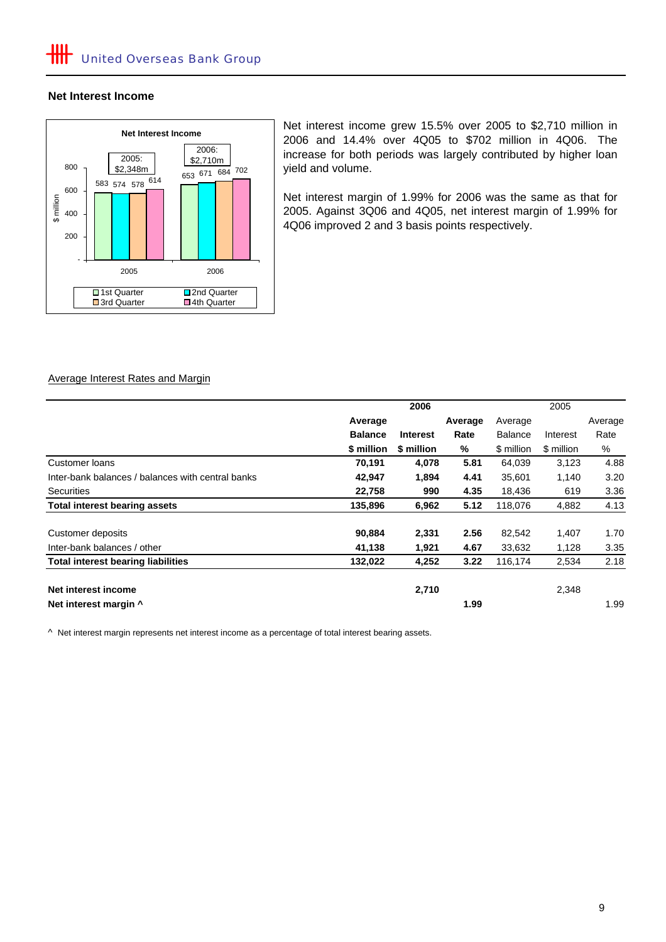#### **Net Interest Income**



Net interest income grew 15.5% over 2005 to \$2,710 million in 2006 and 14.4% over 4Q05 to \$702 million in 4Q06. The increase for both periods was largely contributed by higher loan yield and volume.

Net interest margin of 1.99% for 2006 was the same as that for 2005. Against 3Q06 and 4Q05, net interest margin of 1.99% for 4Q06 improved 2 and 3 basis points respectively.

#### Average Interest Rates and Margin

|                                                   | 2006           |                 |         | 2005           |            |         |
|---------------------------------------------------|----------------|-----------------|---------|----------------|------------|---------|
|                                                   | Average        |                 | Average | Average        |            | Average |
|                                                   | <b>Balance</b> | <b>Interest</b> | Rate    | <b>Balance</b> | Interest   | Rate    |
|                                                   | \$ million     | \$ million      | %       | \$ million     | \$ million | %       |
| Customer loans                                    | 70,191         | 4,078           | 5.81    | 64,039         | 3,123      | 4.88    |
| Inter-bank balances / balances with central banks | 42,947         | 1,894           | 4.41    | 35.601         | 1,140      | 3.20    |
| Securities                                        | 22,758         | 990             | 4.35    | 18,436         | 619        | 3.36    |
| <b>Total interest bearing assets</b>              | 135,896        | 6,962           | 5.12    | 118,076        | 4,882      | 4.13    |
| Customer deposits                                 | 90,884         | 2,331           | 2.56    | 82,542         | 1,407      | 1.70    |
| Inter-bank balances / other                       | 41,138         | 1,921           | 4.67    | 33,632         | 1,128      | 3.35    |
| <b>Total interest bearing liabilities</b>         | 132,022        | 4,252           | 3.22    | 116,174        | 2,534      | 2.18    |
| Net interest income                               |                | 2,710           |         |                | 2,348      |         |
| Net interest margin ^                             |                |                 | 1.99    |                |            | 1.99    |

^ Net interest margin represents net interest income as a percentage of total interest bearing assets.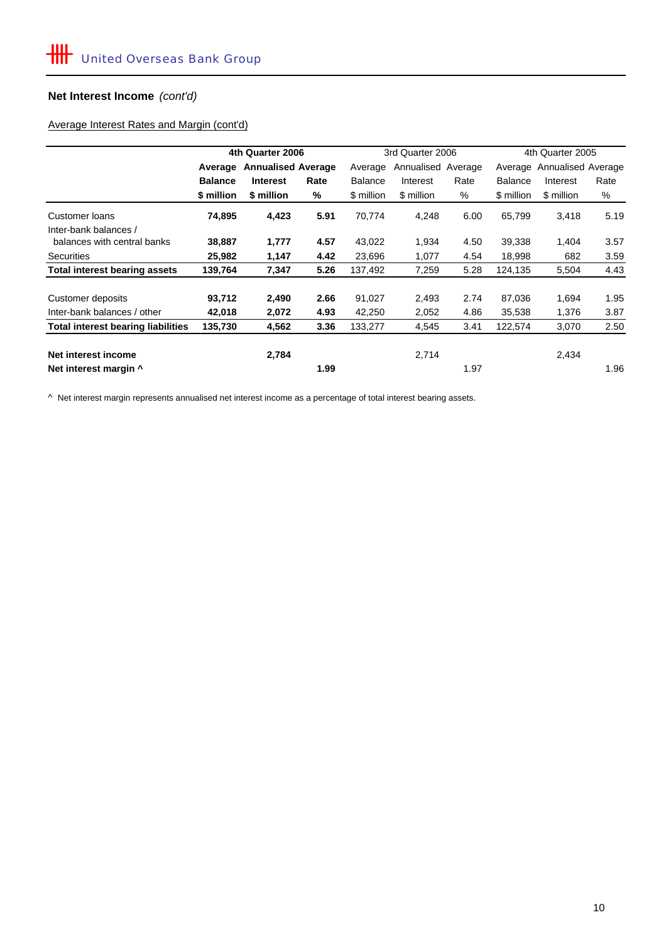## **Net Interest Income** *(cont'd)*

## Average Interest Rates and Margin (cont'd)

|                                           | 4th Quarter 2006 |                           |      |                | 3rd Quarter 2006   |      | 4th Quarter 2005           |            |      |
|-------------------------------------------|------------------|---------------------------|------|----------------|--------------------|------|----------------------------|------------|------|
|                                           | Average          | <b>Annualised Average</b> |      | Average        | Annualised Average |      | Average Annualised Average |            |      |
|                                           | <b>Balance</b>   | <b>Interest</b>           | Rate | <b>Balance</b> | Interest           | Rate | <b>Balance</b>             | Interest   | Rate |
|                                           | \$ million       | \$ million                | %    | \$ million     | \$ million         | %    | \$ million                 | \$ million | %    |
| Customer loans<br>Inter-bank balances /   | 74,895           | 4,423                     | 5.91 | 70,774         | 4,248              | 6.00 | 65,799                     | 3,418      | 5.19 |
| balances with central banks               | 38,887           | 1,777                     | 4.57 | 43,022         | 1,934              | 4.50 | 39,338                     | 1,404      | 3.57 |
| <b>Securities</b>                         | 25,982           | 1,147                     | 4.42 | 23,696         | 1,077              | 4.54 | 18,998                     | 682        | 3.59 |
| Total interest bearing assets             | 139,764          | 7,347                     | 5.26 | 137,492        | 7,259              | 5.28 | 124,135                    | 5,504      | 4.43 |
| Customer deposits                         | 93,712           | 2,490                     | 2.66 | 91,027         | 2,493              | 2.74 | 87,036                     | 1,694      | 1.95 |
| Inter-bank balances / other               | 42,018           | 2,072                     | 4.93 | 42,250         | 2,052              | 4.86 | 35,538                     | 1,376      | 3.87 |
| <b>Total interest bearing liabilities</b> | 135,730          | 4,562                     | 3.36 | 133,277        | 4,545              | 3.41 | 122,574                    | 3,070      | 2.50 |
| Net interest income                       |                  | 2,784                     |      |                | 2,714              |      |                            | 2,434      |      |
| Net interest margin ^                     |                  |                           | 1.99 |                |                    | 1.97 |                            |            | 1.96 |

^ Net interest margin represents annualised net interest income as a percentage of total interest bearing assets.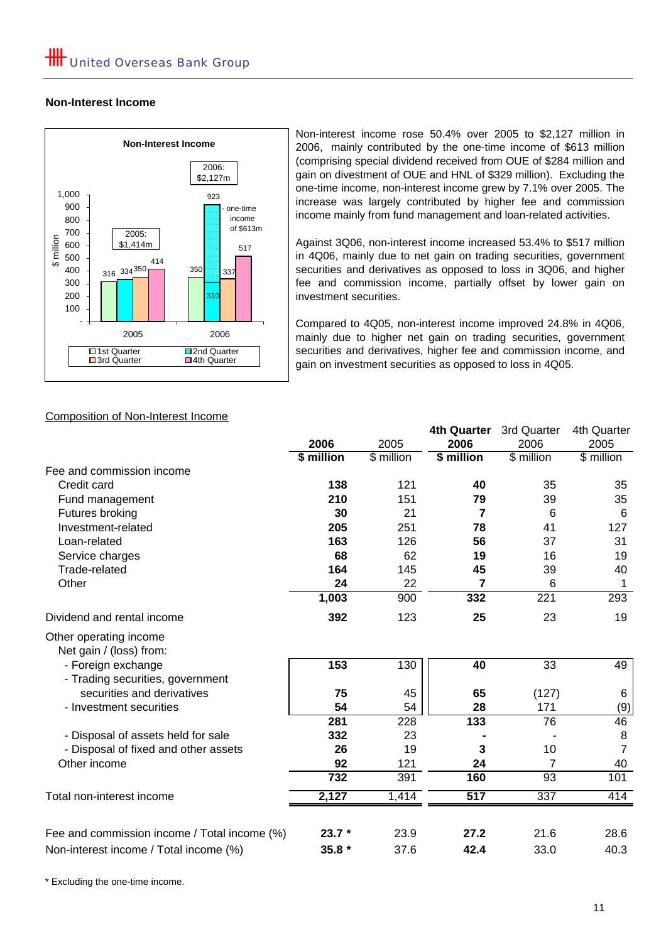## **Non-Interest Income**



Non-interest income rose 50.4% over 2005 to \$2,127 million in 2006, mainly contributed by the one-time income of \$613 million (comprising special dividend received from OUE of \$284 million and gain on divestment of OUE and HNL of \$329 million). Excluding the one-time income, non-interest income grew by 7.1% over 2005. The increase was largely contributed by higher fee and commission income mainly from fund management and loan-related activities.

Against 3Q06, non-interest income increased 53.4% to \$517 million in 4Q06, mainly due to net gain on trading securities, government securities and derivatives as opposed to loss in 3Q06, and higher fee and commission income, partially offset by lower gain on investment securities.

Compared to 4Q05, non-interest income improved 24.8% in 4Q06, mainly due to higher net gain on trading securities, government securities and derivatives, higher fee and commission income, and gain on investment securities as opposed to loss in 4Q05.

**4th Quarter** 3rd Quarter 4th Quarter

## Composition of Non-Interest Income

|                                                        | 2006       | 2005       | 2006       | 2006       | 2005           |
|--------------------------------------------------------|------------|------------|------------|------------|----------------|
|                                                        | \$ million | \$ million | \$ million | \$ million | $$$ million    |
| Fee and commission income                              |            |            |            |            |                |
| Credit card                                            | 138        | 121        | 40         | 35         | 35             |
| Fund management                                        | 210        | 151        | 79         | 39         | 35             |
| Futures broking                                        | 30         | 21         | 7          | 6          | 6              |
| Investment-related                                     | 205        | 251        | 78         | 41         | 127            |
| Loan-related                                           | 163        | 126        | 56         | 37         | 31             |
| Service charges                                        | 68         | 62         | 19         | 16         | 19             |
| Trade-related                                          | 164        | 145        | 45         | 39         | 40             |
| Other                                                  | 24         | 22         | 7          | 6          | 1              |
|                                                        | 1,003      | 900        | 332        | 221        | 293            |
| Dividend and rental income                             | 392        | 123        | 25         | 23         | 19             |
| Other operating income<br>Net gain / (loss) from:      |            |            |            |            |                |
| - Foreign exchange<br>- Trading securities, government | 153        | 130        | 40         | 33         | 49             |
| securities and derivatives                             | 75         | 45         | 65         | (127)      | 6              |
| - Investment securities                                | 54         | 54         | 28         | 171        | (9)            |
|                                                        | 281        | 228        | 133        | 76         | 46             |
| - Disposal of assets held for sale                     | 332        | 23         |            |            | 8              |
| - Disposal of fixed and other assets                   | 26         | 19         | 3          | 10         | $\overline{7}$ |
| Other income                                           | 92         | 121        | 24         | 7          | 40             |
|                                                        | 732        | 391        | 160        | 93         | 101            |
| Total non-interest income                              | 2,127      | 1,414      | 517        | 337        | 414            |
| Fee and commission income / Total income (%)           | $23.7*$    | 23.9       | 27.2       | 21.6       | 28.6           |
| Non-interest income / Total income (%)                 | $35.8*$    | 37.6       | 42.4       | 33.0       | 40.3           |
|                                                        |            |            |            |            |                |

\* Excluding the one-time income.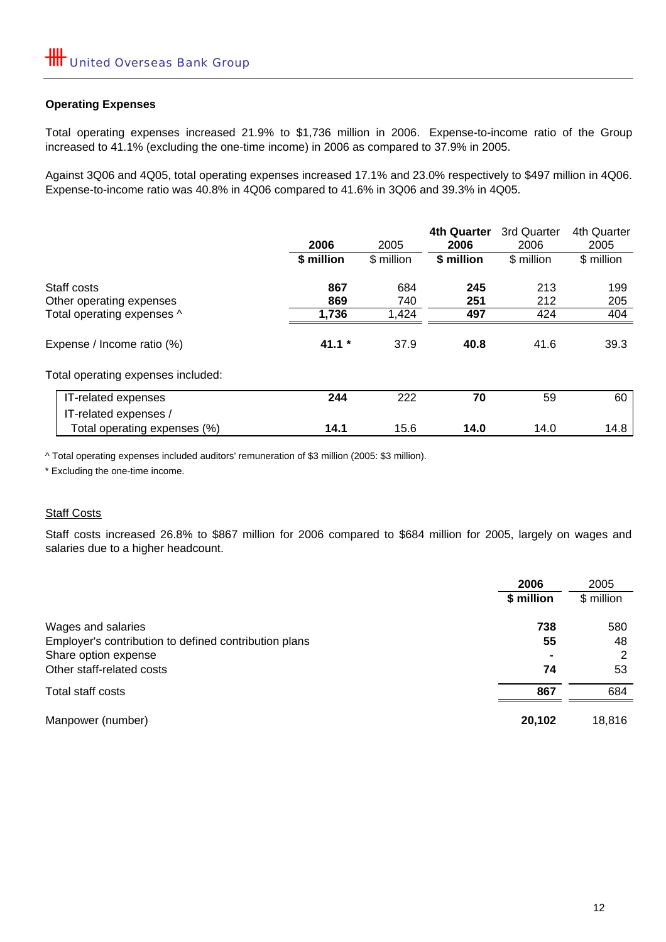## **Operating Expenses**

Total operating expenses increased 21.9% to \$1,736 million in 2006. Expense-to-income ratio of the Group increased to 41.1% (excluding the one-time income) in 2006 as compared to 37.9% in 2005.

Against 3Q06 and 4Q05, total operating expenses increased 17.1% and 23.0% respectively to \$497 million in 4Q06. Expense-to-income ratio was 40.8% in 4Q06 compared to 41.6% in 3Q06 and 39.3% in 4Q05.

|                                                       | 2006       | 2005       | <b>4th Quarter</b><br>2006 | 3rd Quarter<br>2006 | 4th Quarter<br>2005 |
|-------------------------------------------------------|------------|------------|----------------------------|---------------------|---------------------|
|                                                       | \$ million | \$ million | \$ million                 | \$ million          | \$ million          |
| Staff costs<br>Other operating expenses               | 867<br>869 | 684<br>740 | 245<br>251                 | 213<br>212          | 199<br>205          |
| Total operating expenses ^                            | 1,736      | 1,424      | 497                        | 424                 | 404                 |
| Expense / Income ratio (%)                            | $41.1 *$   | 37.9       | 40.8                       | 41.6                | 39.3                |
| Total operating expenses included:                    |            |            |                            |                     |                     |
| IT-related expenses                                   | 244        | 222        | 70                         | 59                  | 60                  |
| IT-related expenses /<br>Total operating expenses (%) | 14.1       | 15.6       | 14.0                       | 14.0                | 14.8                |

^ Total operating expenses included auditors' remuneration of \$3 million (2005: \$3 million).

\* Excluding the one-time income.

## **Staff Costs**

Staff costs increased 26.8% to \$867 million for 2006 compared to \$684 million for 2005, largely on wages and salaries due to a higher headcount.

|                                                       | 2006<br>\$ million | 2005<br>\$ million |
|-------------------------------------------------------|--------------------|--------------------|
|                                                       |                    |                    |
| Wages and salaries                                    | 738                | 580                |
| Employer's contribution to defined contribution plans | 55                 | 48                 |
| Share option expense                                  | $\blacksquare$     | 2                  |
| Other staff-related costs                             | 74                 | 53                 |
| Total staff costs                                     | 867                | 684                |
| Manpower (number)                                     | 20,102             | 18,816             |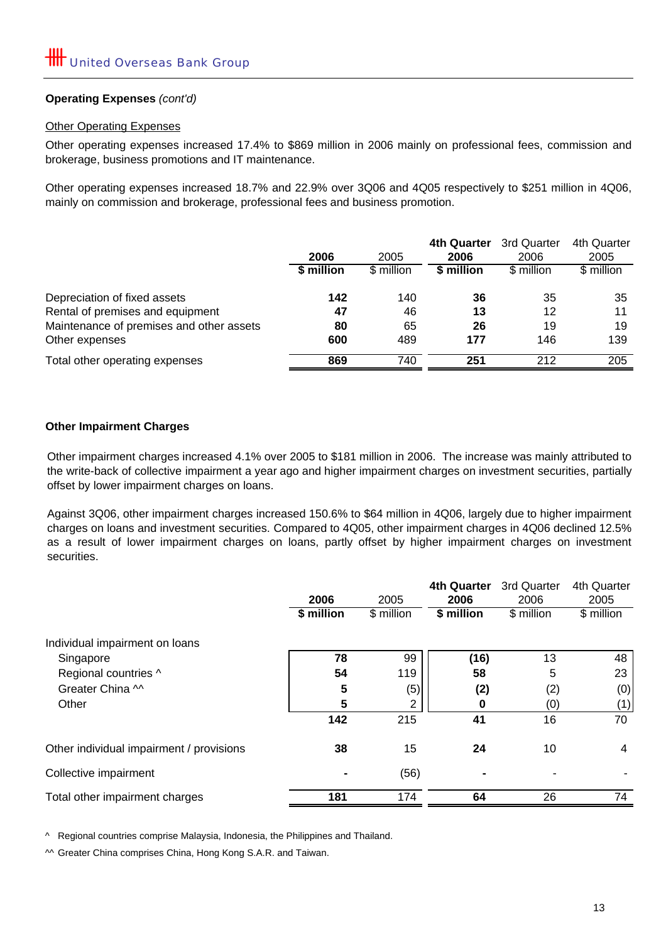## **Operating Expenses** *(cont'd)*

## **Other Operating Expenses**

Other operating expenses increased 17.4% to \$869 million in 2006 mainly on professional fees, commission and brokerage, business promotions and IT maintenance.

Other operating expenses increased 18.7% and 22.9% over 3Q06 and 4Q05 respectively to \$251 million in 4Q06, mainly on commission and brokerage, professional fees and business promotion.

|                                          | 2006       | 2005       | 4th Quarter<br>2006 | 3rd Quarter<br>2006 | 4th Quarter<br>2005 |
|------------------------------------------|------------|------------|---------------------|---------------------|---------------------|
|                                          | \$ million | \$ million | \$ million          | \$ million          | \$ million          |
| Depreciation of fixed assets             | 142        | 140        | 36                  | 35                  | 35                  |
| Rental of premises and equipment         | 47         | 46         | 13                  | 12                  | 11                  |
| Maintenance of premises and other assets | 80         | 65         | 26                  | 19                  | 19                  |
| Other expenses                           | 600        | 489        | 177                 | 146                 | 139                 |
| Total other operating expenses           | 869        | 740        | 251                 | 212                 | 205                 |

## **Other Impairment Charges**

Other impairment charges increased 4.1% over 2005 to \$181 million in 2006. The increase was mainly attributed to the write-back of collective impairment a year ago and higher impairment charges on investment securities, partially offset by lower impairment charges on loans.

Against 3Q06, other impairment charges increased 150.6% to \$64 million in 4Q06, largely due to higher impairment charges on loans and investment securities. Compared to 4Q05, other impairment charges in 4Q06 declined 12.5% as a result of lower impairment charges on loans, partly offset by higher impairment charges on investment securities.

|                                          |            |            | <b>4th Quarter</b> | 3rd Quarter | 4th Quarter |
|------------------------------------------|------------|------------|--------------------|-------------|-------------|
|                                          | 2006       | 2005       | 2006               | 2006        | 2005        |
|                                          | \$ million | \$ million | \$ million         | $$$ million | \$ million  |
| Individual impairment on loans           |            |            |                    |             |             |
| Singapore                                | 78         | 99         | (16)               | 13          | 48          |
| Regional countries ^                     | 54         | 119        | 58                 | 5           | 23          |
| Greater China ^^                         | 5          | (5)        | (2)                | (2)         | (0)         |
| Other                                    | 5          | 2          | 0                  | (0)         | (1)         |
|                                          | 142        | 215        | 41                 | 16          | 70          |
| Other individual impairment / provisions | 38         | 15         | 24                 | 10          | 4           |
| Collective impairment                    |            | (56)       |                    |             |             |
| Total other impairment charges           | 181        | 174        | 64                 | 26          | 74          |

^ Regional countries comprise Malaysia, Indonesia, the Philippines and Thailand.

^^ Greater China comprises China, Hong Kong S.A.R. and Taiwan.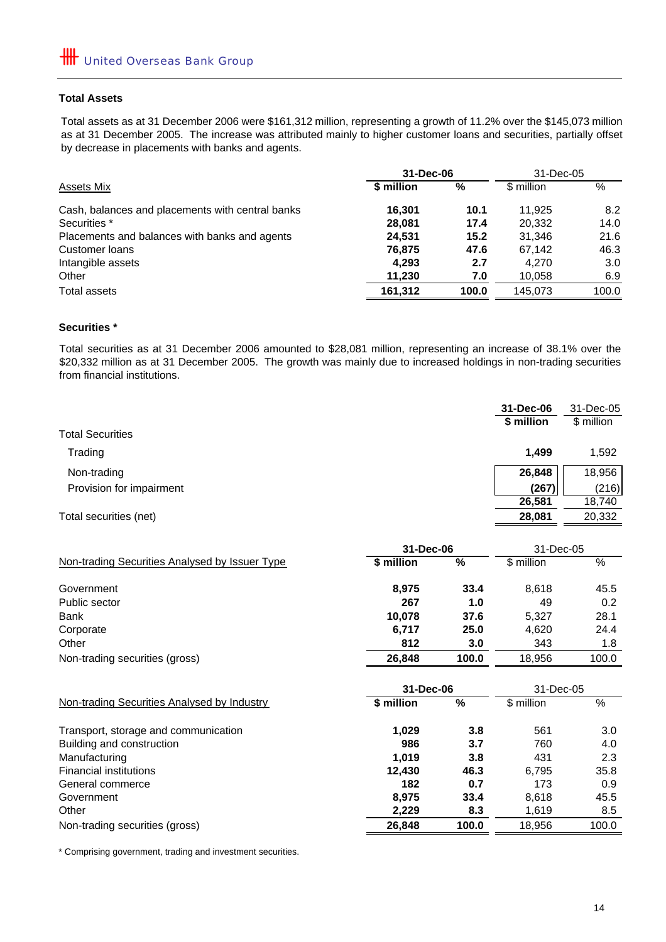#### **Total Assets**

Total assets as at 31 December 2006 were \$161,312 million, representing a growth of 11.2% over the \$145,073 million as at 31 December 2005. The increase was attributed mainly to higher customer loans and securities, partially offset by decrease in placements with banks and agents.

|                                                  | 31-Dec-06  |       | 31-Dec-05  |       |
|--------------------------------------------------|------------|-------|------------|-------|
| Assets Mix                                       | \$ million | %     | \$ million | %     |
| Cash, balances and placements with central banks | 16.301     | 10.1  | 11.925     | 8.2   |
| Securities *                                     | 28,081     | 17.4  | 20.332     | 14.0  |
| Placements and balances with banks and agents    | 24,531     | 15.2  | 31.346     | 21.6  |
| Customer loans                                   | 76,875     | 47.6  | 67.142     | 46.3  |
| Intangible assets                                | 4.293      | 2.7   | 4.270      | 3.0   |
| Other                                            | 11,230     | 7.0   | 10,058     | 6.9   |
| Total assets                                     | 161,312    | 100.0 | 145.073    | 100.0 |

#### **Securities \***

Total securities as at 31 December 2006 amounted to \$28,081 million, representing an increase of 38.1% over the \$20,332 million as at 31 December 2005. The growth was mainly due to increased holdings in non-trading securities from financial institutions.

| <b>Total Securities</b>  | 31-Dec-06<br>\$ million | 31-Dec-05<br>\$ million |
|--------------------------|-------------------------|-------------------------|
| Trading                  | 1.499                   | 1,592                   |
| Non-trading              | 26,848                  | 18,956                  |
| Provision for impairment | (267)                   | (216)                   |
|                          | 26,581                  | 18,740                  |
| Total securities (net)   | 28,081                  | 20,332                  |

|                                                | 31-Dec-06  |       | 31-Dec-05  |       |
|------------------------------------------------|------------|-------|------------|-------|
| Non-trading Securities Analysed by Issuer Type | \$ million | %     | \$ million | %     |
| Government                                     | 8.975      | 33.4  | 8.618      | 45.5  |
| Public sector                                  | 267        | 1.0   | 49         | 0.2   |
| <b>Bank</b>                                    | 10.078     | 37.6  | 5.327      | 28.1  |
| Corporate                                      | 6,717      | 25.0  | 4,620      | 24.4  |
| Other                                          | 812        | 3.0   | 343        | 1.8   |
| Non-trading securities (gross)                 | 26,848     | 100.0 | 18.956     | 100.0 |

|                                             | 31-Dec-06  | 31-Dec-05 |            |       |
|---------------------------------------------|------------|-----------|------------|-------|
| Non-trading Securities Analysed by Industry | \$ million | %         | \$ million | %     |
| Transport, storage and communication        | 1.029      | 3.8       | 561        | 3.0   |
| Building and construction                   | 986        | 3.7       | 760        | 4.0   |
| Manufacturing                               | 1.019      | 3.8       | 431        | 2.3   |
| <b>Financial institutions</b>               | 12.430     | 46.3      | 6.795      | 35.8  |
| General commerce                            | 182        | 0.7       | 173        | 0.9   |
| Government                                  | 8.975      | 33.4      | 8,618      | 45.5  |
| Other                                       | 2,229      | 8.3       | 1,619      | 8.5   |
| Non-trading securities (gross)              | 26,848     | 100.0     | 18,956     | 100.0 |

\* Comprising government, trading and investment securities.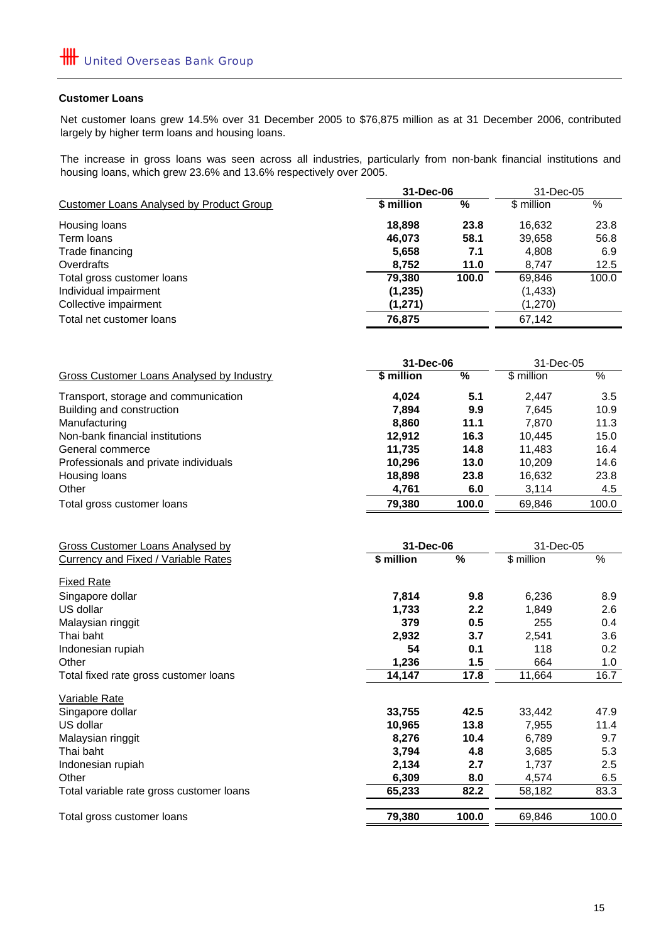#### **Customer Loans**

Net customer loans grew 14.5% over 31 December 2005 to \$76,875 million as at 31 December 2006, contributed largely by higher term loans and housing loans.

The increase in gross loans was seen across all industries, particularly from non-bank financial institutions and housing loans, which grew 23.6% and 13.6% respectively over 2005.

|                                          | 31-Dec-06  | 31-Dec-05 |            |       |
|------------------------------------------|------------|-----------|------------|-------|
| Customer Loans Analysed by Product Group | \$ million | %         | \$ million | %     |
| Housing loans                            | 18,898     | 23.8      | 16.632     | 23.8  |
| Term loans                               | 46.073     | 58.1      | 39,658     | 56.8  |
| Trade financing                          | 5,658      | 7.1       | 4,808      | 6.9   |
| Overdrafts                               | 8,752      | 11.0      | 8.747      | 12.5  |
| Total gross customer loans               | 79.380     | 100.0     | 69.846     | 100.0 |
| Individual impairment                    | (1, 235)   |           | (1, 433)   |       |
| Collective impairment                    | (1,271)    |           | (1,270)    |       |
| Total net customer loans                 | 76,875     |           | 67.142     |       |

|                                           | 31-Dec-06  |       | 31-Dec-05  |       |
|-------------------------------------------|------------|-------|------------|-------|
| Gross Customer Loans Analysed by Industry | \$ million | %     | \$ million | %     |
| Transport, storage and communication      | 4.024      | 5.1   | 2.447      | 3.5   |
| Building and construction                 | 7.894      | 9.9   | 7.645      | 10.9  |
| Manufacturing                             | 8.860      | 11.1  | 7.870      | 11.3  |
| Non-bank financial institutions           | 12.912     | 16.3  | 10.445     | 15.0  |
| General commerce                          | 11.735     | 14.8  | 11.483     | 16.4  |
| Professionals and private individuals     | 10.296     | 13.0  | 10.209     | 14.6  |
| Housing loans                             | 18,898     | 23.8  | 16,632     | 23.8  |
| Other                                     | 4,761      | 6.0   | 3,114      | 4.5   |
| Total gross customer loans                | 79.380     | 100.0 | 69.846     | 100.0 |

| Gross Customer Loans Analysed by         | 31-Dec-06  |       | 31-Dec-05  |                  |
|------------------------------------------|------------|-------|------------|------------------|
| Currency and Fixed / Variable Rates      | \$ million | %     | \$ million | %                |
| <b>Fixed Rate</b>                        |            |       |            |                  |
| Singapore dollar                         | 7,814      | 9.8   | 6,236      | 8.9              |
| US dollar                                | 1,733      | 2.2   | 1,849      | 2.6              |
| Malaysian ringgit                        | 379        | 0.5   | 255        | 0.4              |
| Thai baht                                | 2,932      | 3.7   | 2,541      | 3.6              |
| Indonesian rupiah                        | 54         | 0.1   | 118        | 0.2 <sub>0</sub> |
| Other                                    | 1,236      | 1.5   | 664        | 1.0              |
| Total fixed rate gross customer loans    | 14,147     | 17.8  | 11,664     | 16.7             |
| Variable Rate                            |            |       |            |                  |
| Singapore dollar                         | 33,755     | 42.5  | 33,442     | 47.9             |
| US dollar                                | 10,965     | 13.8  | 7,955      | 11.4             |
| Malaysian ringgit                        | 8,276      | 10.4  | 6,789      | 9.7              |
| Thai baht                                | 3,794      | 4.8   | 3,685      | 5.3              |
| Indonesian rupiah                        | 2,134      | 2.7   | 1,737      | $2.5\,$          |
| Other                                    | 6,309      | 8.0   | 4,574      | 6.5              |
| Total variable rate gross customer loans | 65,233     | 82.2  | 58,182     | 83.3             |
| Total gross customer loans               | 79,380     | 100.0 | 69,846     | 100.0            |
|                                          |            |       |            |                  |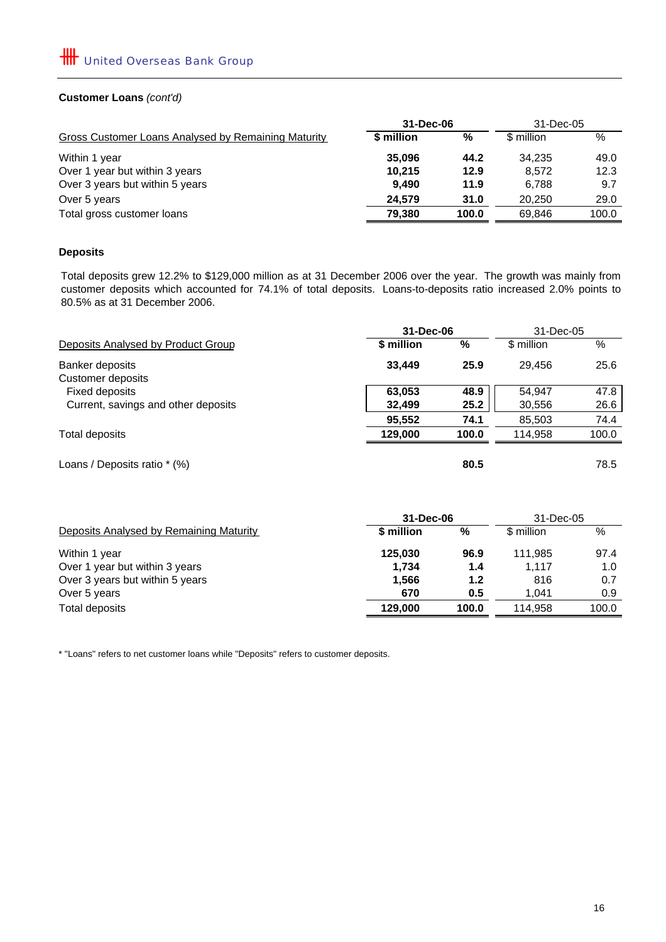### **Customer Loans** *(cont'd)*

|                                                     | 31-Dec-06  |       | 31-Dec-05  |       |
|-----------------------------------------------------|------------|-------|------------|-------|
| Gross Customer Loans Analysed by Remaining Maturity | \$ million | %     | \$ million | $\%$  |
| Within 1 year                                       | 35,096     | 44.2  | 34.235     | 49.0  |
| Over 1 year but within 3 years                      | 10.215     | 12.9  | 8.572      | 12.3  |
| Over 3 years but within 5 years                     | 9.490      | 11.9  | 6.788      | 9.7   |
| Over 5 years                                        | 24.579     | 31.0  | 20.250     | 29.0  |
| Total gross customer loans                          | 79,380     | 100.0 | 69.846     | 100.0 |
|                                                     |            |       |            |       |

## **Deposits**

Total deposits grew 12.2% to \$129,000 million as at 31 December 2006 over the year. The growth was mainly from customer deposits which accounted for 74.1% of total deposits. Loans-to-deposits ratio increased 2.0% points to 80.5% as at 31 December 2006.

|                                     |            | 31-Dec-06<br>31-Dec-05 |            |       |
|-------------------------------------|------------|------------------------|------------|-------|
| Deposits Analysed by Product Group  | \$ million | %                      | \$ million | %     |
| Banker deposits                     | 33,449     | 25.9                   | 29.456     | 25.6  |
| Customer deposits                   |            |                        |            |       |
| Fixed deposits                      | 63,053     | 48.9                   | 54.947     | 47.8  |
| Current, savings and other deposits | 32,499     | 25.2                   | 30,556     | 26.6  |
|                                     | 95,552     | 74.1                   | 85,503     | 74.4  |
| Total deposits                      | 129,000    | 100.0                  | 114.958    | 100.0 |
| Loans / Deposits ratio * (%)        |            | 80.5                   |            | 78.5  |

| \$ million | %     | \$ million | %         |
|------------|-------|------------|-----------|
| 125,030    | 96.9  | 111.985    | 97.4      |
| 1.734      | 1.4   | 1.117      | 1.0       |
| 1.566      | 1.2   | 816        | 0.7       |
| 670        | 0.5   | 1.041      | 0.9       |
| 129,000    | 100.0 | 114.958    | 100.0     |
|            |       | 31-Dec-06  | 31-Dec-05 |

\* "Loans" refers to net customer loans while "Deposits" refers to customer deposits.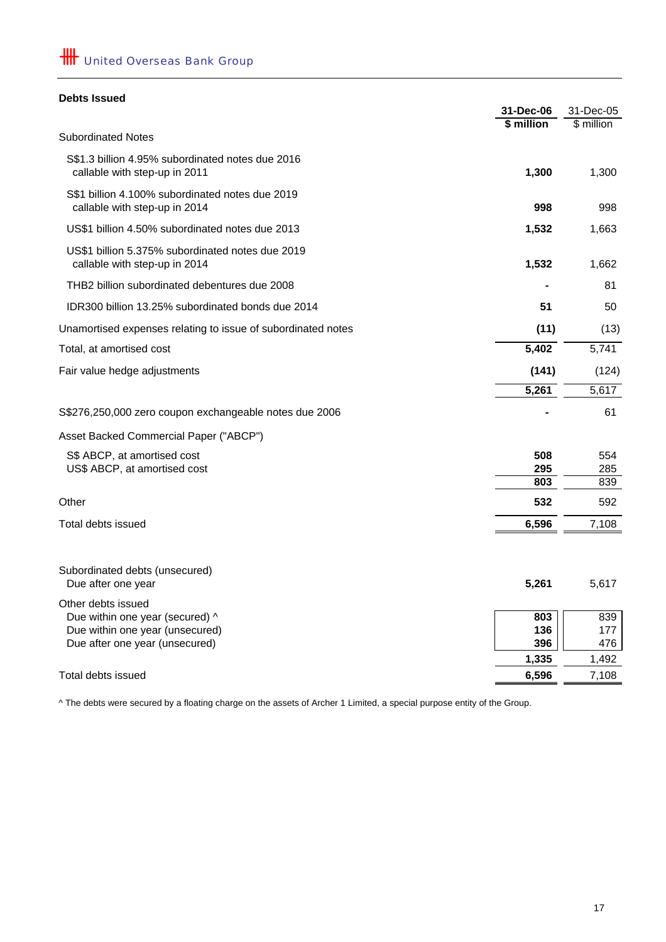## **Debts Issued**

|                                                                                                                            | 31-Dec-06<br>\$ million | 31-Dec-05<br>\$ million |
|----------------------------------------------------------------------------------------------------------------------------|-------------------------|-------------------------|
| <b>Subordinated Notes</b>                                                                                                  |                         |                         |
| S\$1.3 billion 4.95% subordinated notes due 2016<br>callable with step-up in 2011                                          | 1,300                   | 1,300                   |
| S\$1 billion 4.100% subordinated notes due 2019<br>callable with step-up in 2014                                           | 998                     | 998                     |
| US\$1 billion 4.50% subordinated notes due 2013                                                                            | 1,532                   | 1,663                   |
| US\$1 billion 5.375% subordinated notes due 2019<br>callable with step-up in 2014                                          | 1,532                   | 1,662                   |
| THB2 billion subordinated debentures due 2008                                                                              |                         | 81                      |
| IDR300 billion 13.25% subordinated bonds due 2014                                                                          | 51                      | 50                      |
| Unamortised expenses relating to issue of subordinated notes                                                               | (11)                    | (13)                    |
| Total, at amortised cost                                                                                                   | 5,402                   | 5,741                   |
| Fair value hedge adjustments                                                                                               | (141)                   | (124)                   |
|                                                                                                                            | 5,261                   | 5,617                   |
| S\$276,250,000 zero coupon exchangeable notes due 2006                                                                     |                         | 61                      |
| Asset Backed Commercial Paper ("ABCP")                                                                                     |                         |                         |
| S\$ ABCP, at amortised cost<br>US\$ ABCP, at amortised cost                                                                | 508<br>295<br>803       | 554<br>285<br>839       |
| Other                                                                                                                      | 532                     | 592                     |
| Total debts issued                                                                                                         | 6,596                   | 7,108                   |
| Subordinated debts (unsecured)<br>Due after one year                                                                       | 5,261                   | 5,617                   |
| Other debts issued<br>Due within one year (secured) ^<br>Due within one year (unsecured)<br>Due after one year (unsecured) | 803<br>136<br>396       | 839<br>177<br>476       |
|                                                                                                                            | 1,335                   | 1,492                   |
| Total debts issued                                                                                                         | 6,596                   | 7,108                   |

^ The debts were secured by a floating charge on the assets of Archer 1 Limited, a special purpose entity of the Group.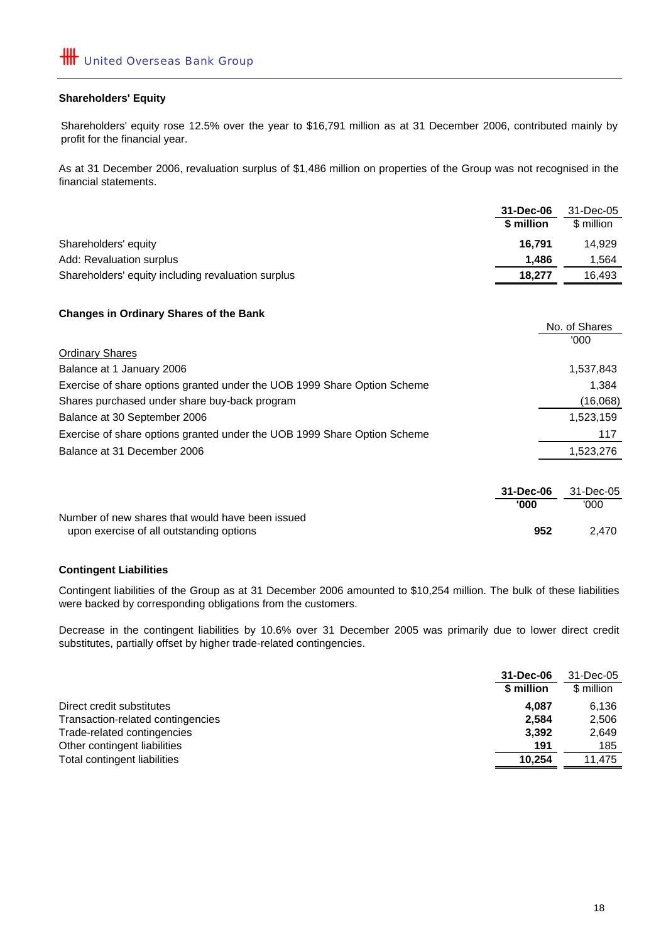#### **Shareholders' Equity**

Shareholders' equity rose 12.5% over the year to \$16,791 million as at 31 December 2006, contributed mainly by profit for the financial year.

As at 31 December 2006, revaluation surplus of \$1,486 million on properties of the Group was not recognised in the financial statements.

|                                                                          | 31-Dec-06  | 31-Dec-05     |
|--------------------------------------------------------------------------|------------|---------------|
|                                                                          | \$ million | \$ million    |
| Shareholders' equity                                                     | 16,791     | 14,929        |
| Add: Revaluation surplus                                                 | 1,486      | 1,564         |
| Shareholders' equity including revaluation surplus                       | 18,277     | 16,493        |
|                                                                          |            |               |
| <b>Changes in Ordinary Shares of the Bank</b>                            |            |               |
|                                                                          |            | No. of Shares |
|                                                                          |            | '000          |
| <b>Ordinary Shares</b>                                                   |            |               |
| Balance at 1 January 2006                                                |            | 1,537,843     |
| Exercise of share options granted under the UOB 1999 Share Option Scheme |            | 1,384         |
| Shares purchased under share buy-back program                            |            | (16,068)      |
| Balance at 30 September 2006                                             |            | 1,523,159     |
| Exercise of share options granted under the UOB 1999 Share Option Scheme |            | 117           |
| Balance at 31 December 2006                                              |            | 1,523,276     |
|                                                                          |            |               |
|                                                                          | 31-Dec-06  | 31-Dec-05     |

Number of new shares that would have been issued upon exercise of all outstanding options **2,470** and 2,470

#### **Contingent Liabilities**

Contingent liabilities of the Group as at 31 December 2006 amounted to \$10,254 million. The bulk of these liabilities were backed by corresponding obligations from the customers.

Decrease in the contingent liabilities by 10.6% over 31 December 2005 was primarily due to lower direct credit substitutes, partially offset by higher trade-related contingencies.

|                                   | 31-Dec-06  | 31-Dec-05  |
|-----------------------------------|------------|------------|
|                                   | \$ million | \$ million |
| Direct credit substitutes         | 4.087      | 6.136      |
| Transaction-related contingencies | 2.584      | 2.506      |
| Trade-related contingencies       | 3.392      | 2.649      |
| Other contingent liabilities      | 191        | 185        |
| Total contingent liabilities      | 10.254     | 11.475     |
|                                   |            |            |

'000

 **952**

**'000**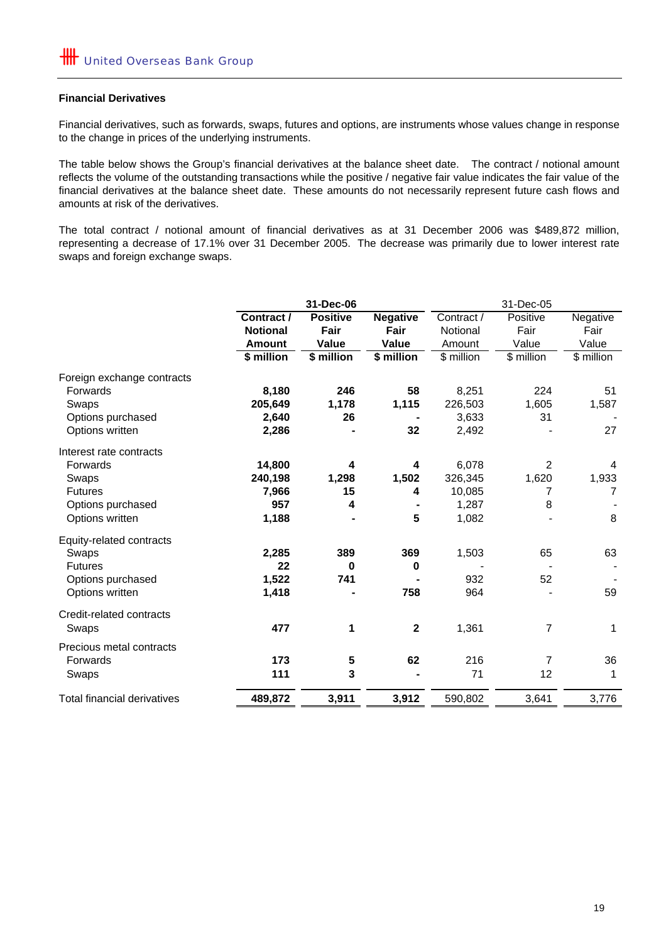#### **Financial Derivatives**

Financial derivatives, such as forwards, swaps, futures and options, are instruments whose values change in response to the change in prices of the underlying instruments.

The table below shows the Group's financial derivatives at the balance sheet date. The contract / notional amount reflects the volume of the outstanding transactions while the positive / negative fair value indicates the fair value of the financial derivatives at the balance sheet date. These amounts do not necessarily represent future cash flows and amounts at risk of the derivatives.

The total contract / notional amount of financial derivatives as at 31 December 2006 was \$489,872 million, representing a decrease of 17.1% over 31 December 2005. The decrease was primarily due to lower interest rate swaps and foreign exchange swaps.

|                                    |                 | 31-Dec-06       |                 |            |            |             |
|------------------------------------|-----------------|-----------------|-----------------|------------|------------|-------------|
|                                    | Contract /      | <b>Positive</b> | <b>Negative</b> | Contract / | Positive   | Negative    |
|                                    | <b>Notional</b> | Fair            | Fair            | Notional   | Fair       | Fair        |
|                                    | <b>Amount</b>   | Value           | Value           | Amount     | Value      | Value       |
|                                    | \$ million      | \$ million      | \$ million      | \$ million | \$ million | \$ million  |
| Foreign exchange contracts         |                 |                 |                 |            |            |             |
| Forwards                           | 8,180           | 246             | 58              | 8,251      | 224        | 51          |
| Swaps                              | 205,649         | 1,178           | 1,115           | 226,503    | 1,605      | 1,587       |
| Options purchased                  | 2,640           | 26              |                 | 3,633      | 31         |             |
| Options written                    | 2,286           |                 | 32              | 2,492      |            | 27          |
| Interest rate contracts            |                 |                 |                 |            |            |             |
| Forwards                           | 14,800          | 4               | 4               | 6,078      | 2          | 4           |
| Swaps                              | 240,198         | 1,298           | 1,502           | 326,345    | 1,620      | 1,933       |
| <b>Futures</b>                     | 7,966           | 15              | 4               | 10,085     | 7          | 7           |
| Options purchased                  | 957             | 4               |                 | 1,287      | 8          |             |
| Options written                    | 1,188           |                 | 5               | 1,082      |            | 8           |
| Equity-related contracts           |                 |                 |                 |            |            |             |
| Swaps                              | 2,285           | 389             | 369             | 1,503      | 65         | 63          |
| <b>Futures</b>                     | 22              | $\bf{0}$        | 0               |            |            |             |
| Options purchased                  | 1,522           | 741             |                 | 932        | 52         |             |
| Options written                    | 1,418           |                 | 758             | 964        |            | 59          |
| Credit-related contracts           |                 |                 |                 |            |            |             |
| Swaps                              | 477             | 1               | $\mathbf{2}$    | 1,361      | 7          | 1           |
| Precious metal contracts           |                 |                 |                 |            |            |             |
| Forwards                           | 173             | 5               | 62              | 216        | 7          | 36          |
| Swaps                              | 111             | 3               |                 | 71         | 12         | $\mathbf 1$ |
| <b>Total financial derivatives</b> | 489,872         | 3,911           | 3,912           | 590,802    | 3,641      | 3,776       |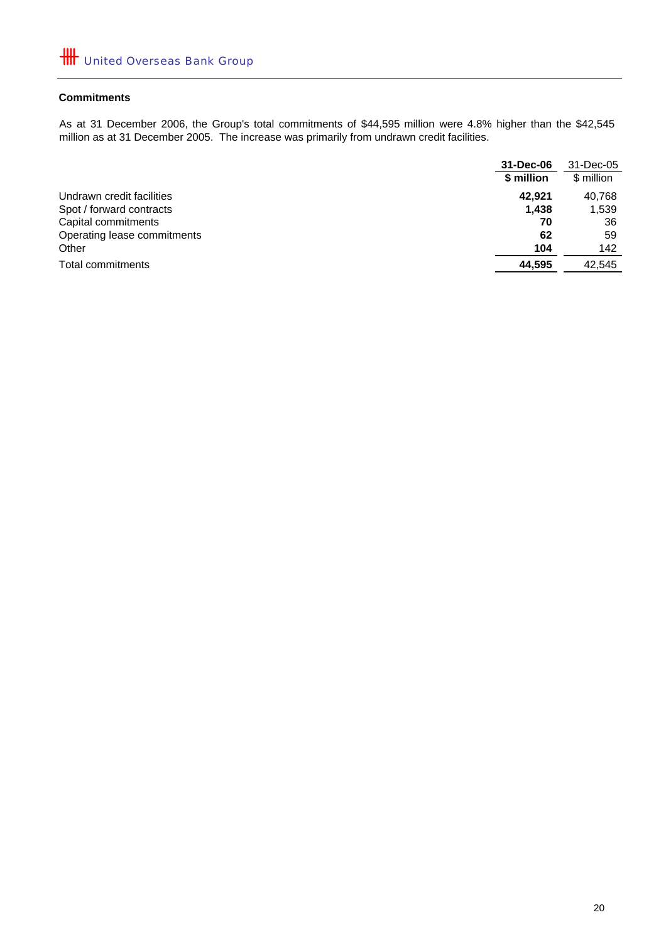## **Commitments**

As at 31 December 2006, the Group's total commitments of \$44,595 million were 4.8% higher than the \$42,545 million as at 31 December 2005. The increase was primarily from undrawn credit facilities.

|                             | 31-Dec-06  | 31-Dec-05  |
|-----------------------------|------------|------------|
|                             | \$ million | \$ million |
| Undrawn credit facilities   | 42.921     | 40.768     |
| Spot / forward contracts    | 1,438      | 1,539      |
| Capital commitments         | 70         | 36         |
| Operating lease commitments | 62         | 59         |
| Other                       | 104        | 142        |
| Total commitments           | 44.595     | 42.545     |
|                             |            |            |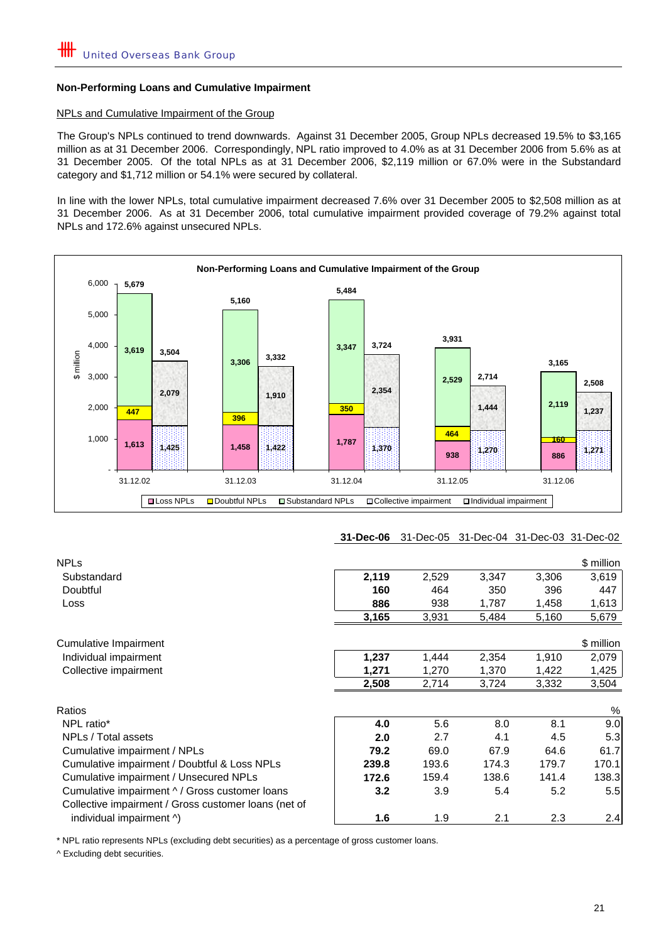#### NPLs and Cumulative Impairment of the Group

The Group's NPLs continued to trend downwards. Against 31 December 2005, Group NPLs decreased 19.5% to \$3,165 million as at 31 December 2006. Correspondingly, NPL ratio improved to 4.0% as at 31 December 2006 from 5.6% as at 31 December 2005. Of the total NPLs as at 31 December 2006, \$2,119 million or 67.0% were in the Substandard category and \$1,712 million or 54.1% were secured by collateral.

In line with the lower NPLs, total cumulative impairment decreased 7.6% over 31 December 2005 to \$2,508 million as at 31 December 2006. As at 31 December 2006, total cumulative impairment provided coverage of 79.2% against total NPLs and 172.6% against unsecured NPLs.



## **31-Dec-06** 31-Dec-05 31-Dec-04 31-Dec-03 31-Dec-02

| <b>NPLs</b>                                          |       |       |       |       | \$ million |
|------------------------------------------------------|-------|-------|-------|-------|------------|
| Substandard                                          | 2,119 | 2,529 | 3,347 | 3,306 | 3,619      |
| Doubtful                                             | 160   | 464   | 350   | 396   | 447        |
| <b>Loss</b>                                          | 886   | 938   | 1,787 | 1,458 | 1,613      |
|                                                      | 3,165 | 3,931 | 5,484 | 5,160 | 5,679      |
|                                                      |       |       |       |       |            |
| Cumulative Impairment                                |       |       |       |       | \$ million |
| Individual impairment                                | 1,237 | 1,444 | 2,354 | 1,910 | 2,079      |
| Collective impairment                                | 1,271 | 1,270 | 1,370 | 1,422 | 1,425      |
|                                                      | 2,508 | 2,714 | 3,724 | 3,332 | 3,504      |
| Ratios                                               |       |       |       |       | %          |
| NPL ratio*                                           | 4.0   | 5.6   | 8.0   | 8.1   | 9.0        |
| NPLs / Total assets                                  | 2.0   | 2.7   | 4.1   | 4.5   | 5.3        |
| Cumulative impairment / NPLs                         | 79.2  | 69.0  | 67.9  | 64.6  | 61.7       |
| Cumulative impairment / Doubtful & Loss NPLs         | 239.8 | 193.6 | 174.3 | 179.7 | 170.1      |
| Cumulative impairment / Unsecured NPLs               | 172.6 | 159.4 | 138.6 | 141.4 | 138.3      |
| Cumulative impairment ^ / Gross customer loans       | 3.2   | 3.9   | 5.4   | 5.2   | 5.5        |
| Collective impairment / Gross customer loans (net of |       |       |       |       |            |
| individual impairment ^)                             | 1.6   | 1.9   | 2.1   | 2.3   | 2.4        |

\* NPL ratio represents NPLs (excluding debt securities) as a percentage of gross customer loans.

^ Excluding debt securities.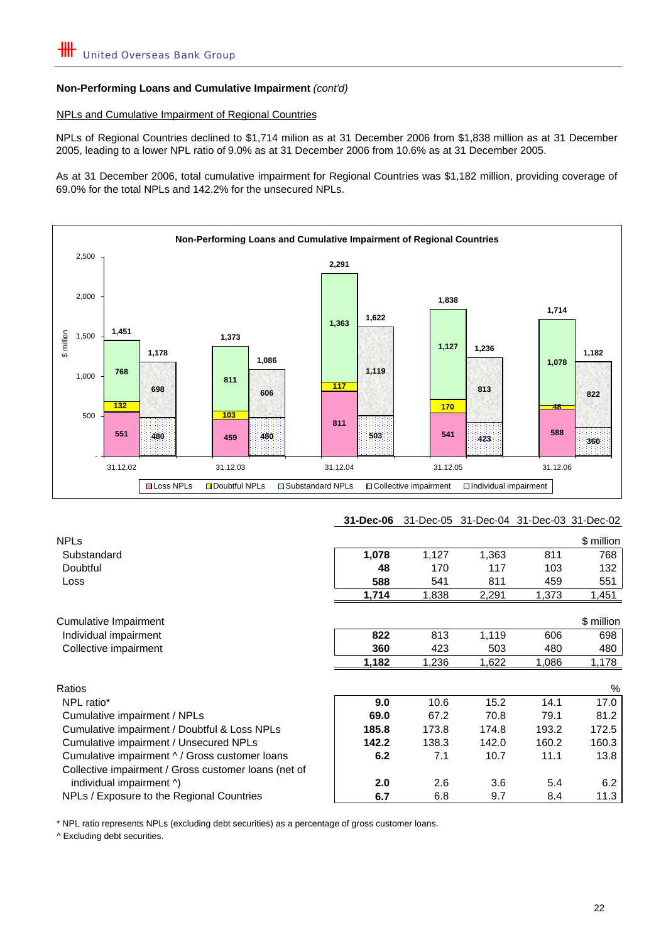#### NPLs and Cumulative Impairment of Regional Countries

NPLs of Regional Countries declined to \$1,714 milion as at 31 December 2006 from \$1,838 million as at 31 December 2005, leading to a lower NPL ratio of 9.0% as at 31 December 2006 from 10.6% as at 31 December 2005.

As at 31 December 2006, total cumulative impairment for Regional Countries was \$1,182 million, providing coverage of 69.0% for the total NPLs and 142.2% for the unsecured NPLs.



## **31-Dec-06** 31-Dec-05 31-Dec-04 31-Dec-03 31-Dec-02

| <b>NPLs</b>                                          |       |       |       |       | \$ million |
|------------------------------------------------------|-------|-------|-------|-------|------------|
| Substandard                                          | 1,078 | 1,127 | 1,363 | 811   | 768        |
| Doubtful                                             | 48    | 170   | 117   | 103   | 132        |
| Loss                                                 | 588   | 541   | 811   | 459   | 551        |
|                                                      | 1,714 | 1,838 | 2,291 | 1,373 | 1,451      |
| Cumulative Impairment                                |       |       |       |       | \$ million |
| Individual impairment                                | 822   | 813   | 1,119 | 606   | 698        |
| Collective impairment                                | 360   | 423   | 503   | 480   | 480        |
|                                                      | 1,182 | 1,236 | 1,622 | 1,086 | 1,178      |
| Ratios                                               |       |       |       |       | %          |
| NPL ratio*                                           | 9.0   | 10.6  | 15.2  | 14.1  | 17.0       |
| Cumulative impairment / NPLs                         | 69.0  | 67.2  | 70.8  | 79.1  | 81.2       |
| Cumulative impairment / Doubtful & Loss NPLs         | 185.8 | 173.8 | 174.8 | 193.2 | 172.5      |
| Cumulative impairment / Unsecured NPLs               | 142.2 | 138.3 | 142.0 | 160.2 | 160.3      |
| Cumulative impairment ^ / Gross customer loans       | 6.2   | 7.1   | 10.7  | 11.1  | 13.8       |
| Collective impairment / Gross customer loans (net of |       |       |       |       |            |
| individual impairment ^)                             | 2.0   | 2.6   | 3.6   | 5.4   | 6.2        |
| NPLs / Exposure to the Regional Countries            | 6.7   | 6.8   | 9.7   | 8.4   | 11.3       |

\* NPL ratio represents NPLs (excluding debt securities) as a percentage of gross customer loans.

^ Excluding debt securities.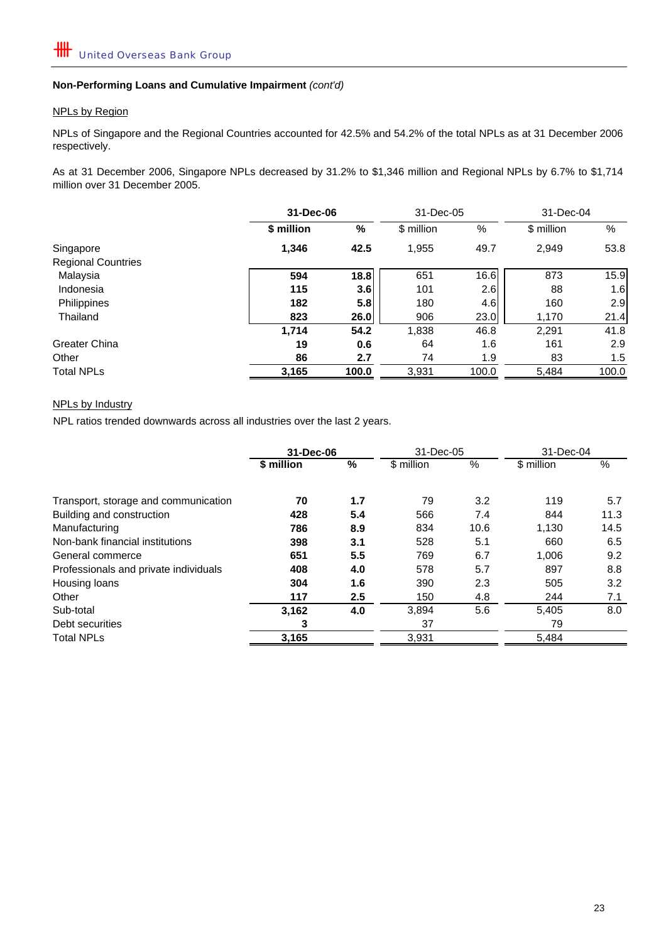#### NPLs by Region

NPLs of Singapore and the Regional Countries accounted for 42.5% and 54.2% of the total NPLs as at 31 December 2006 respectively.

As at 31 December 2006, Singapore NPLs decreased by 31.2% to \$1,346 million and Regional NPLs by 6.7% to \$1,714 million over 31 December 2005.

|                           |            | 31-Dec-06        |            | 31-Dec-05 |            | 31-Dec-04 |  |
|---------------------------|------------|------------------|------------|-----------|------------|-----------|--|
|                           | \$ million | $\frac{9}{6}$    | \$ million | %         | \$ million | $\%$      |  |
| Singapore                 | 1,346      | 42.5             | 1,955      | 49.7      | 2,949      | 53.8      |  |
| <b>Regional Countries</b> |            |                  |            |           |            |           |  |
| Malaysia                  | 594        | 18.8             | 651        | 16.6      | 873        | 15.9      |  |
| Indonesia                 | 115        | 3.6 <sub>1</sub> | 101        | 2.6       | 88         | 1.6       |  |
| Philippines               | 182        | 5.8 <sub>1</sub> | 180        | 4.6       | 160        | 2.9       |  |
| Thailand                  | 823        | 26.0             | 906        | 23.0      | 1,170      | 21.4      |  |
|                           | 1,714      | 54.2             | 1,838      | 46.8      | 2,291      | 41.8      |  |
| Greater China             | 19         | 0.6              | 64         | 1.6       | 161        | 2.9       |  |
| Other                     | 86         | 2.7              | 74         | 1.9       | 83         | 1.5       |  |
| <b>Total NPLs</b>         | 3,165      | 100.0            | 3,931      | 100.0     | 5,484      | 100.0     |  |

#### NPLs by Industry

NPL ratios trended downwards across all industries over the last 2 years.

|                                       | 31-Dec-06  |     | 31-Dec-05  |      | 31-Dec-04  |      |
|---------------------------------------|------------|-----|------------|------|------------|------|
|                                       | \$ million | %   | \$ million | %    | \$ million | %    |
| Transport, storage and communication  | 70         | 1.7 | 79         | 3.2  | 119        | 5.7  |
| Building and construction             | 428        | 5.4 | 566        | 7.4  | 844        | 11.3 |
| Manufacturing                         | 786        | 8.9 | 834        | 10.6 | 1,130      | 14.5 |
| Non-bank financial institutions       | 398        | 3.1 | 528        | 5.1  | 660        | 6.5  |
| General commerce                      | 651        | 5.5 | 769        | 6.7  | 1,006      | 9.2  |
| Professionals and private individuals | 408        | 4.0 | 578        | 5.7  | 897        | 8.8  |
| Housing loans                         | 304        | 1.6 | 390        | 2.3  | 505        | 3.2  |
| Other                                 | 117        | 2.5 | 150        | 4.8  | 244        | 7.1  |
| Sub-total                             | 3,162      | 4.0 | 3,894      | 5.6  | 5,405      | 8.0  |
| Debt securities                       | 3          |     | 37         |      | 79         |      |
| <b>Total NPLs</b>                     | 3,165      |     | 3,931      |      | 5,484      |      |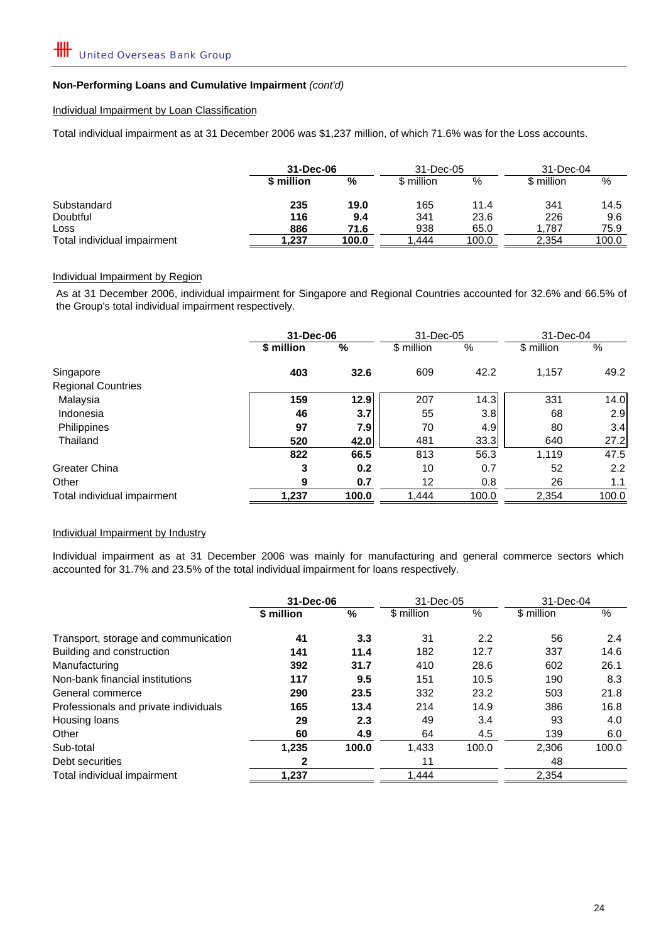#### Individual Impairment by Loan Classification

Total individual impairment as at 31 December 2006 was \$1,237 million, of which 71.6% was for the Loss accounts.

|                             | 31-Dec-06  |       | 31-Dec-05  |       | $31 - Dec-04$ |       |
|-----------------------------|------------|-------|------------|-------|---------------|-------|
|                             | \$ million | %     | \$ million | $\%$  | \$ million    | %     |
| Substandard                 | 235        | 19.0  | 165        | 11.4  | 341           | 14.5  |
| Doubtful                    | 116        | 9.4   | 341        | 23.6  | 226           | 9.6   |
| Loss                        | 886        | 71.6  | 938        | 65.0  | 1.787         | 75.9  |
| Total individual impairment | 237.،      | 100.0 | .444       | 100.0 | 2,354         | 100.0 |

#### Individual Impairment by Region

As at 31 December 2006, individual impairment for Singapore and Regional Countries accounted for 32.6% and 66.5% of the Group's total individual impairment respectively.

|                             | 31-Dec-06  |       | 31-Dec-05  |       | 31-Dec-04  |       |
|-----------------------------|------------|-------|------------|-------|------------|-------|
|                             | \$ million | %     | \$ million | %     | \$ million | %     |
| Singapore                   | 403        | 32.6  | 609        | 42.2  | 1,157      | 49.2  |
| <b>Regional Countries</b>   |            |       |            |       |            |       |
| Malaysia                    | 159        | 12.9  | 207        | 14.3  | 331        | 14.0  |
| Indonesia                   | 46         | 3.7   | 55         | 3.8   | 68         | 2.9   |
| Philippines                 | 97         | 7.91  | 70         | 4.9   | 80         | 3.4   |
| Thailand                    | 520        | 42.0  | 481        | 33.3  | 640        | 27.2  |
|                             | 822        | 66.5  | 813        | 56.3  | 1,119      | 47.5  |
| Greater China               | 3          | 0.2   | 10         | 0.7   | 52         | 2.2   |
| Other                       | 9          | 0.7   | 12         | 0.8   | 26         | 1.1   |
| Total individual impairment | 1,237      | 100.0 | 1,444      | 100.0 | 2,354      | 100.0 |

#### Individual Impairment by Industry

Individual impairment as at 31 December 2006 was mainly for manufacturing and general commerce sectors which accounted for 31.7% and 23.5% of the total individual impairment for loans respectively.

|                                       | 31-Dec-06  |       | 31-Dec-05  |       | 31-Dec-04  |       |
|---------------------------------------|------------|-------|------------|-------|------------|-------|
|                                       | \$ million | %     | \$ million | %     | \$ million | %     |
| Transport, storage and communication  | 41         | 3.3   | 31         | 2.2   | 56         | 2.4   |
| Building and construction             | 141        | 11.4  | 182        | 12.7  | 337        | 14.6  |
| Manufacturing                         | 392        | 31.7  | 410        | 28.6  | 602        | 26.1  |
| Non-bank financial institutions       | 117        | 9.5   | 151        | 10.5  | 190        | 8.3   |
| General commerce                      | 290        | 23.5  | 332        | 23.2  | 503        | 21.8  |
| Professionals and private individuals | 165        | 13.4  | 214        | 14.9  | 386        | 16.8  |
| Housing loans                         | 29         | 2.3   | 49         | 3.4   | 93         | 4.0   |
| Other                                 | 60         | 4.9   | 64         | 4.5   | 139        | 6.0   |
| Sub-total                             | 1,235      | 100.0 | 1,433      | 100.0 | 2,306      | 100.0 |
| Debt securities                       | 2          |       | 11         |       | 48         |       |
| Total individual impairment           | 1.237      |       | 1.444      |       | 2.354      |       |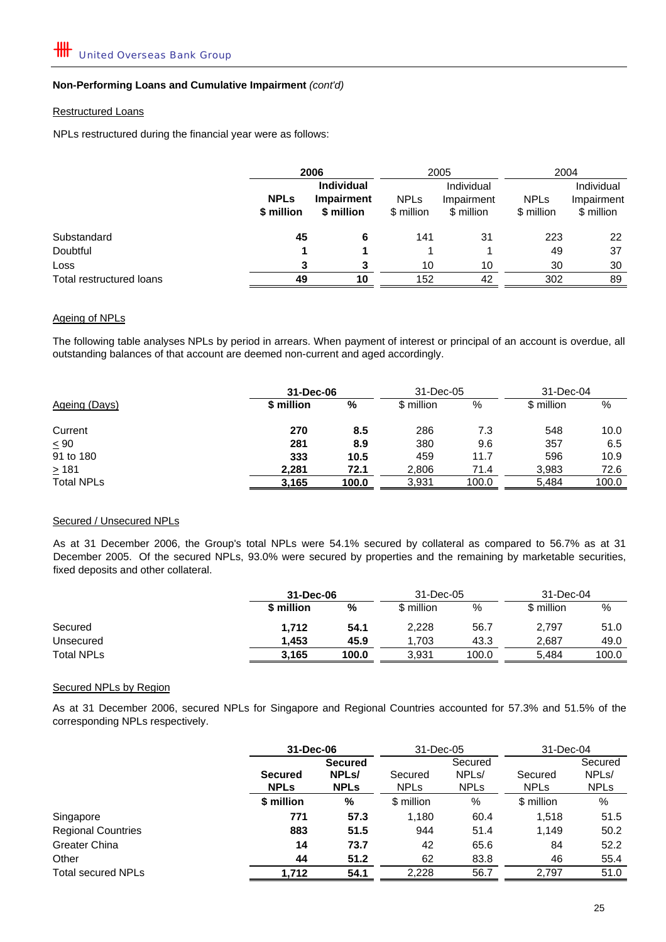#### Restructured Loans

NPLs restructured during the financial year were as follows:

|                          | 2006                      |                                               |                           | 2005                                   | 2004                      |                                        |
|--------------------------|---------------------------|-----------------------------------------------|---------------------------|----------------------------------------|---------------------------|----------------------------------------|
|                          | <b>NPLs</b><br>\$ million | <b>Individual</b><br>Impairment<br>\$ million | <b>NPLs</b><br>\$ million | Individual<br>Impairment<br>\$ million | <b>NPLs</b><br>\$ million | Individual<br>Impairment<br>\$ million |
| Substandard              | 45                        | 6                                             | 141                       | 31                                     | 223                       | 22                                     |
| Doubtful                 |                           |                                               |                           |                                        | 49                        | 37                                     |
| Loss                     | 3                         | 3                                             | 10                        | 10                                     | 30                        | 30                                     |
| Total restructured loans | 49                        | 10                                            | 152                       | 42                                     | 302                       | 89                                     |

#### Ageing of NPLs

The following table analyses NPLs by period in arrears. When payment of interest or principal of an account is overdue, all outstanding balances of that account are deemed non-current and aged accordingly.

|                   |            | 31-Dec-06 |            | 31-Dec-05 |            | 31-Dec-04 |  |
|-------------------|------------|-----------|------------|-----------|------------|-----------|--|
| Ageing (Days)     | \$ million | %         | \$ million | %         | \$ million | %         |  |
| Current           | 270        | 8.5       | 286        | 7.3       | 548        | 10.0      |  |
| $\leq 90$         | 281        | 8.9       | 380        | 9.6       | 357        | 6.5       |  |
| 91 to 180         | 333        | 10.5      | 459        | 11.7      | 596        | 10.9      |  |
| $\geq 181$        | 2.281      | 72.1      | 2,806      | 71.4      | 3,983      | 72.6      |  |
| <b>Total NPLs</b> | 3,165      | 100.0     | 3,931      | 100.0     | 5,484      | 100.0     |  |

### Secured / Unsecured NPLs

As at 31 December 2006, the Group's total NPLs were 54.1% secured by collateral as compared to 56.7% as at 31 December 2005. Of the secured NPLs, 93.0% were secured by properties and the remaining by marketable securities, fixed deposits and other collateral.

|                   |            | 31-Dec-06 |            | 31-Dec-05 |            | 31-Dec-04 |
|-------------------|------------|-----------|------------|-----------|------------|-----------|
|                   | \$ million | %         | \$ million | %         | \$ million | %         |
| Secured           | 1,712      | 54.1      | 2,228      | 56.7      | 2,797      | 51.0      |
| Unsecured         | 1.453      | 45.9      | 1.703      | 43.3      | 2.687      | 49.0      |
| <b>Total NPLs</b> | 3,165      | 100.0     | 3,931      | 100.0     | 5.484      | 100.0     |

### Secured NPLs by Region

As at 31 December 2006, secured NPLs for Singapore and Regional Countries accounted for 57.3% and 51.5% of the corresponding NPLs respectively.

|                           |                               | 31-Dec-06                                           |                        | 31-Dec-05                                    |                        | 31-Dec-04                                    |
|---------------------------|-------------------------------|-----------------------------------------------------|------------------------|----------------------------------------------|------------------------|----------------------------------------------|
|                           | <b>Secured</b><br><b>NPLs</b> | <b>Secured</b><br>NPL <sub>s</sub> /<br><b>NPLs</b> | Secured<br><b>NPLs</b> | Secured<br>NPL <sub>s</sub> /<br><b>NPLS</b> | Secured<br><b>NPLs</b> | Secured<br>NPL <sub>s</sub> /<br><b>NPLS</b> |
|                           | \$ million                    | %                                                   | \$ million             | %                                            | \$ million             | %                                            |
| Singapore                 | 771                           | 57.3                                                | 1,180                  | 60.4                                         | 1,518                  | 51.5                                         |
| <b>Regional Countries</b> | 883                           | 51.5                                                | 944                    | 51.4                                         | 1.149                  | 50.2                                         |
| <b>Greater China</b>      | 14                            | 73.7                                                | 42                     | 65.6                                         | 84                     | 52.2                                         |
| Other                     | 44                            | 51.2                                                | 62                     | 83.8                                         | 46                     | 55.4                                         |
| <b>Total secured NPLs</b> | 1.712                         | 54.1                                                | 2,228                  | 56.7                                         | 2.797                  | 51.0                                         |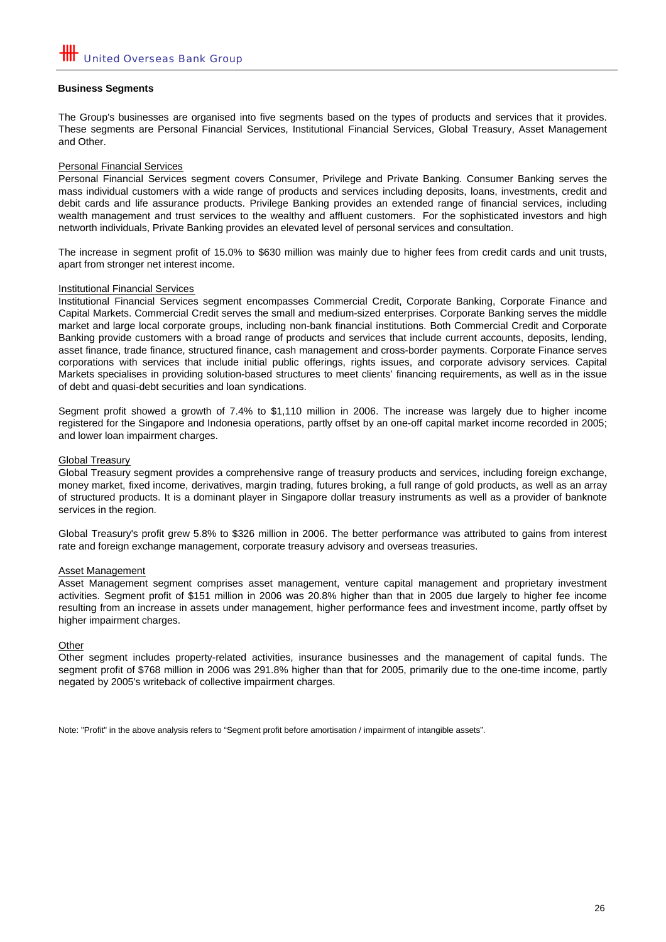#### **Business Segments**

The Group's businesses are organised into five segments based on the types of products and services that it provides. These segments are Personal Financial Services, Institutional Financial Services, Global Treasury, Asset Management and Other.

#### Personal Financial Services

Personal Financial Services segment covers Consumer, Privilege and Private Banking. Consumer Banking serves the mass individual customers with a wide range of products and services including deposits, loans, investments, credit and debit cards and life assurance products. Privilege Banking provides an extended range of financial services, including wealth management and trust services to the wealthy and affluent customers. For the sophisticated investors and high networth individuals, Private Banking provides an elevated level of personal services and consultation.

The increase in segment profit of 15.0% to \$630 million was mainly due to higher fees from credit cards and unit trusts, apart from stronger net interest income.

#### Institutional Financial Services

Institutional Financial Services segment encompasses Commercial Credit, Corporate Banking, Corporate Finance and Capital Markets. Commercial Credit serves the small and medium-sized enterprises. Corporate Banking serves the middle market and large local corporate groups, including non-bank financial institutions. Both Commercial Credit and Corporate Banking provide customers with a broad range of products and services that include current accounts, deposits, lending, asset finance, trade finance, structured finance, cash management and cross-border payments. Corporate Finance serves corporations with services that include initial public offerings, rights issues, and corporate advisory services. Capital Markets specialises in providing solution-based structures to meet clients' financing requirements, as well as in the issue of debt and quasi-debt securities and loan syndications.

Segment profit showed a growth of 7.4% to \$1,110 million in 2006. The increase was largely due to higher income registered for the Singapore and Indonesia operations, partly offset by an one-off capital market income recorded in 2005; and lower loan impairment charges.

#### Global Treasury

Global Treasury segment provides a comprehensive range of treasury products and services, including foreign exchange, money market, fixed income, derivatives, margin trading, futures broking, a full range of gold products, as well as an array of structured products. It is a dominant player in Singapore dollar treasury instruments as well as a provider of banknote services in the region.

Global Treasury's profit grew 5.8% to \$326 million in 2006. The better performance was attributed to gains from interest rate and foreign exchange management, corporate treasury advisory and overseas treasuries.

#### Asset Management

Asset Management segment comprises asset management, venture capital management and proprietary investment activities. Segment profit of \$151 million in 2006 was 20.8% higher than that in 2005 due largely to higher fee income resulting from an increase in assets under management, higher performance fees and investment income, partly offset by higher impairment charges.

#### **Other**

Other segment includes property-related activities, insurance businesses and the management of capital funds. The segment profit of \$768 million in 2006 was 291.8% higher than that for 2005, primarily due to the one-time income, partly negated by 2005's writeback of collective impairment charges.

Note: "Profit" in the above analysis refers to "Segment profit before amortisation / impairment of intangible assets".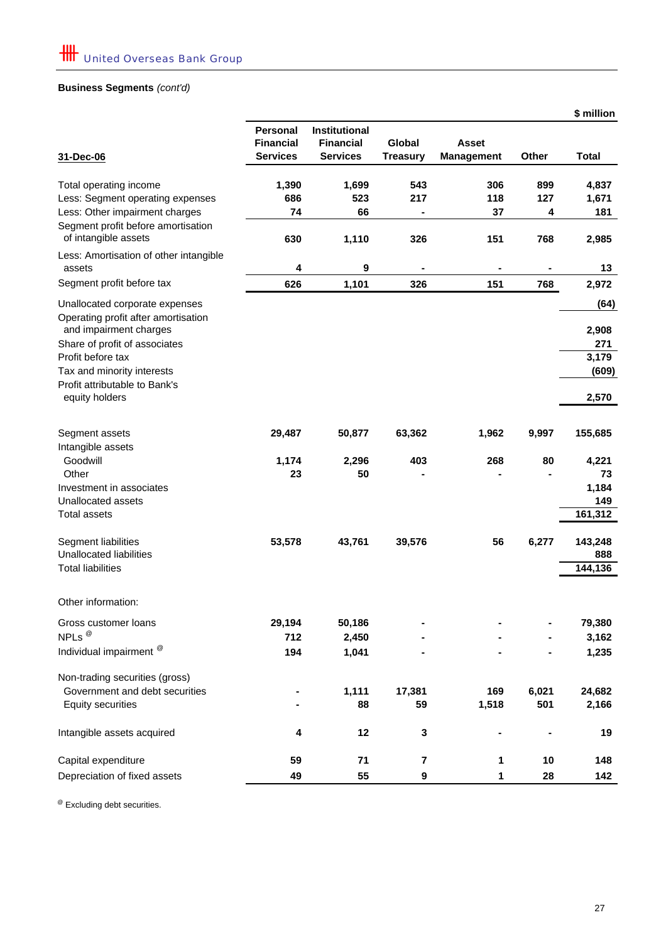## **Business Segments** *(cont'd)*

|                                                                                              |                  |                      |                 |                   |          | \$ million   |
|----------------------------------------------------------------------------------------------|------------------|----------------------|-----------------|-------------------|----------|--------------|
|                                                                                              | <b>Personal</b>  | <b>Institutional</b> |                 |                   |          |              |
|                                                                                              | <b>Financial</b> | <b>Financial</b>     | <b>Global</b>   | Asset             |          |              |
| 31-Dec-06                                                                                    | <b>Services</b>  | <b>Services</b>      | <b>Treasury</b> | <b>Management</b> | Other    | <b>Total</b> |
|                                                                                              |                  |                      |                 |                   |          |              |
| Total operating income                                                                       | 1,390<br>686     | 1,699                | 543<br>217      | 306               | 899      | 4,837        |
| Less: Segment operating expenses                                                             | 74               | 523                  |                 | 118               | 127      | 1,671        |
| Less: Other impairment charges<br>Segment profit before amortisation<br>of intangible assets | 630              | 66<br>1,110          | 326             | 37<br>151         | 4<br>768 | 181<br>2,985 |
| Less: Amortisation of other intangible<br>assets                                             | 4                | 9                    |                 |                   |          | 13           |
| Segment profit before tax                                                                    | 626              | 1,101                | 326             | 151               | 768      | 2,972        |
| Unallocated corporate expenses<br>Operating profit after amortisation                        |                  |                      |                 |                   |          | (64)         |
| and impairment charges                                                                       |                  |                      |                 |                   |          | 2,908        |
| Share of profit of associates                                                                |                  |                      |                 |                   |          | 271          |
| Profit before tax                                                                            |                  |                      |                 |                   |          | 3,179        |
| Tax and minority interests                                                                   |                  |                      |                 |                   |          | (609)        |
| Profit attributable to Bank's                                                                |                  |                      |                 |                   |          |              |
| equity holders                                                                               |                  |                      |                 |                   |          | 2,570        |
| Segment assets                                                                               | 29,487           | 50,877               | 63,362          | 1,962             | 9,997    | 155,685      |
| Intangible assets                                                                            |                  |                      |                 |                   |          |              |
| Goodwill                                                                                     | 1,174            | 2,296                | 403             | 268               | 80       | 4,221        |
| Other                                                                                        | 23               | 50                   |                 |                   |          | 73           |
| Investment in associates                                                                     |                  |                      |                 |                   |          | 1,184        |
| Unallocated assets                                                                           |                  |                      |                 |                   |          | 149          |
| <b>Total assets</b>                                                                          |                  |                      |                 |                   |          | 161,312      |
| Segment liabilities                                                                          | 53,578           | 43,761               | 39,576          | 56                | 6,277    | 143,248      |
| Unallocated liabilities                                                                      |                  |                      |                 |                   |          | 888          |
| <b>Total liabilities</b>                                                                     |                  |                      |                 |                   |          | 144,136      |
| Other information:                                                                           |                  |                      |                 |                   |          |              |
|                                                                                              | 29,194           | 50,186               |                 |                   |          | 79,380       |
| Gross customer loans<br>NPLs <sup>@</sup>                                                    |                  |                      |                 |                   |          |              |
|                                                                                              | 712              | 2,450                |                 |                   |          | 3,162        |
| Individual impairment <sup>@</sup>                                                           | 194              | 1,041                |                 |                   |          | 1,235        |
| Non-trading securities (gross)                                                               |                  |                      |                 |                   |          |              |
| Government and debt securities                                                               |                  | 1,111                | 17,381          | 169               | 6,021    | 24,682       |
| <b>Equity securities</b>                                                                     |                  | 88                   | 59              | 1,518             | 501      | 2,166        |
| Intangible assets acquired                                                                   | 4                | 12                   | 3               |                   |          | 19           |
| Capital expenditure                                                                          | 59               | 71                   | 7               | 1                 | 10       | 148          |
| Depreciation of fixed assets                                                                 | 49               | 55                   | 9               | 1                 | 28       | 142          |

@ Excluding debt securities.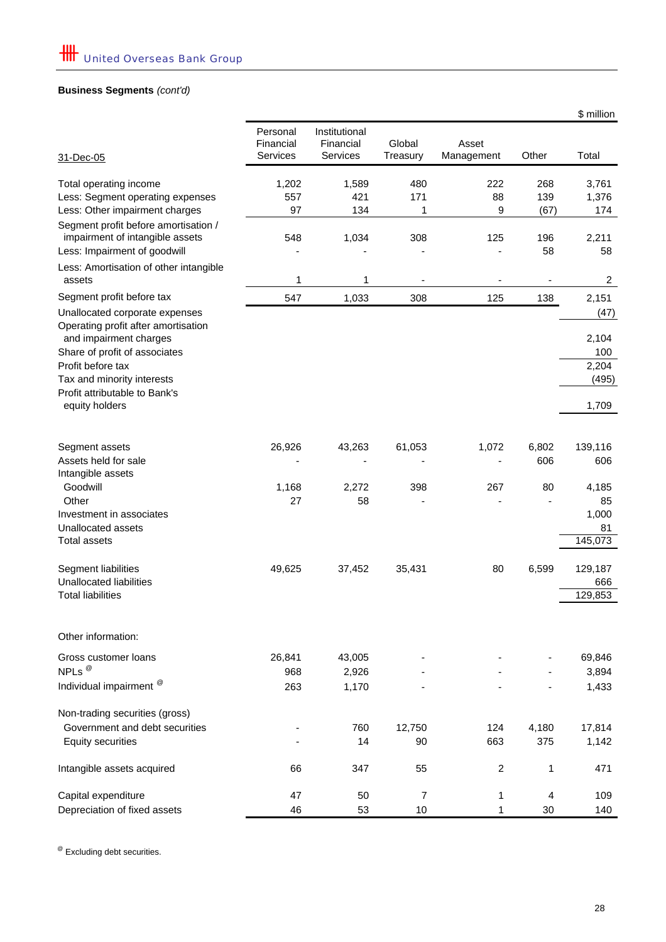## **Business Segments** *(cont'd)*

|                                                                                                                                                       |                                   |                                               |                      |                     |                   | \$ million                            |
|-------------------------------------------------------------------------------------------------------------------------------------------------------|-----------------------------------|-----------------------------------------------|----------------------|---------------------|-------------------|---------------------------------------|
| 31-Dec-05                                                                                                                                             | Personal<br>Financial<br>Services | Institutional<br>Financial<br><b>Services</b> | Global<br>Treasury   | Asset<br>Management | Other             | Total                                 |
| Total operating income<br>Less: Segment operating expenses                                                                                            | 1,202<br>557                      | 1,589<br>421                                  | 480<br>171           | 222<br>88           | 268<br>139        | 3,761<br>1,376                        |
| Less: Other impairment charges<br>Segment profit before amortisation /<br>impairment of intangible assets<br>Less: Impairment of goodwill             | 97<br>548                         | 134<br>1,034                                  | 1<br>308             | 9<br>125            | (67)<br>196<br>58 | 174<br>2,211<br>58                    |
| Less: Amortisation of other intangible<br>assets                                                                                                      | 1                                 | 1                                             |                      |                     | -                 | $\overline{c}$                        |
| Segment profit before tax                                                                                                                             | 547                               | 1,033                                         | 308                  | 125                 | 138               | 2,151                                 |
| Unallocated corporate expenses<br>Operating profit after amortisation<br>and impairment charges<br>Share of profit of associates<br>Profit before tax |                                   |                                               |                      |                     |                   | (47)<br>2,104<br>100<br>2,204         |
| Tax and minority interests<br>Profit attributable to Bank's<br>equity holders                                                                         |                                   |                                               |                      |                     |                   | (495)<br>1,709                        |
| Segment assets<br>Assets held for sale<br>Intangible assets                                                                                           | 26,926                            | 43,263                                        | 61,053               | 1,072               | 6,802<br>606      | 139,116<br>606                        |
| Goodwill<br>Other<br>Investment in associates<br>Unallocated assets<br><b>Total assets</b>                                                            | 1,168<br>27                       | 2,272<br>58                                   | 398                  | 267                 | 80                | 4,185<br>85<br>1,000<br>81<br>145,073 |
| Segment liabilities<br>Unallocated liabilities<br><b>Total liabilities</b>                                                                            | 49,625                            | 37,452                                        | 35,431               | 80                  | 6,599             | 129,187<br>666<br>129,853             |
| Other information:                                                                                                                                    |                                   |                                               |                      |                     |                   |                                       |
| Gross customer loans<br>NPLs <sup>@</sup>                                                                                                             | 26,841<br>968                     | 43,005<br>2,926                               |                      |                     |                   | 69,846<br>3,894                       |
| Individual impairment <sup>®</sup>                                                                                                                    | 263                               | 1,170                                         |                      |                     |                   | 1,433                                 |
| Non-trading securities (gross)<br>Government and debt securities<br><b>Equity securities</b>                                                          |                                   | 760<br>14                                     | 12,750<br>90         | 124<br>663          | 4,180<br>375      | 17,814<br>1,142                       |
| Intangible assets acquired                                                                                                                            | 66                                | 347                                           | 55                   | $\overline{c}$      | 1                 | 471                                   |
| Capital expenditure<br>Depreciation of fixed assets                                                                                                   | 47<br>46                          | 50<br>53                                      | $\overline{7}$<br>10 | 1<br>$\mathbf{1}$   | 4<br>30           | 109<br>140                            |

@ Excluding debt securities.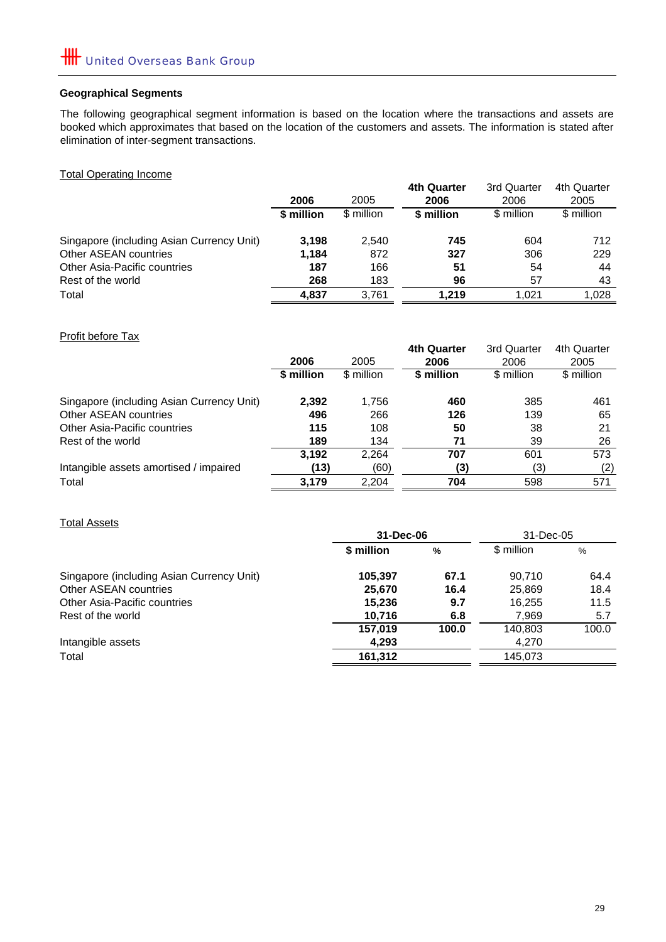## **Geographical Segments**

The following geographical segment information is based on the location where the transactions and assets are booked which approximates that based on the location of the customers and assets. The information is stated after elimination of inter-segment transactions.

Total Operating Income

|                                           |            |            | <b>4th Quarter</b> | 3rd Quarter | 4th Quarter |
|-------------------------------------------|------------|------------|--------------------|-------------|-------------|
|                                           | 2006       | 2005       | 2006               | 2006        | 2005        |
|                                           | \$ million | \$ million | \$ million         | \$ million  | \$ million  |
| Singapore (including Asian Currency Unit) | 3.198      | 2.540      | 745                | 604         | 712         |
| Other ASEAN countries                     | 1.184      | 872        | 327                | 306         | 229         |
| Other Asia-Pacific countries              | 187        | 166        | 51                 | 54          | 44          |
| Rest of the world                         | 268        | 183        | 96                 | 57          | 43          |
| Total                                     | 4,837      | 3.761      | 1.219              | 1.021       | 1.028       |

Profit before Tax

| <b>FIUIIL DEIUIE TAA</b>                  |            |            |             |             |             |
|-------------------------------------------|------------|------------|-------------|-------------|-------------|
|                                           |            |            | 4th Quarter | 3rd Quarter | 4th Quarter |
|                                           | 2006       | 2005       | 2006        | 2006        | 2005        |
|                                           | \$ million | \$ million | \$ million  | \$ million  | \$ million  |
| Singapore (including Asian Currency Unit) | 2,392      | 1,756      | 460         | 385         | 461         |
| Other ASEAN countries                     | 496        | 266        | 126         | 139         | 65          |
| Other Asia-Pacific countries              | 115        | 108        | 50          | 38          | 21          |
| Rest of the world                         | 189        | 134        | 71          | 39          | 26          |
|                                           | 3,192      | 2.264      | 707         | 601         | 573         |
| Intangible assets amortised / impaired    | (13)       | (60)       | (3)         | (3)         | (2)         |
| Total                                     | 3.179      | 2.204      | 704         | 598         | 571         |

## Total Assets

| 31-Dec-06  |               |            |           |
|------------|---------------|------------|-----------|
| \$ million | $\frac{0}{0}$ | \$ million | %         |
| 105,397    | 67.1          | 90.710     | 64.4      |
| 25,670     | 16.4          | 25,869     | 18.4      |
| 15,236     | 9.7           | 16.255     | 11.5      |
| 10,716     | 6.8           | 7,969      | 5.7       |
| 157.019    | 100.0         | 140,803    | 100.0     |
| 4,293      |               | 4,270      |           |
| 161.312    |               | 145.073    |           |
|            |               |            | 31-Dec-05 |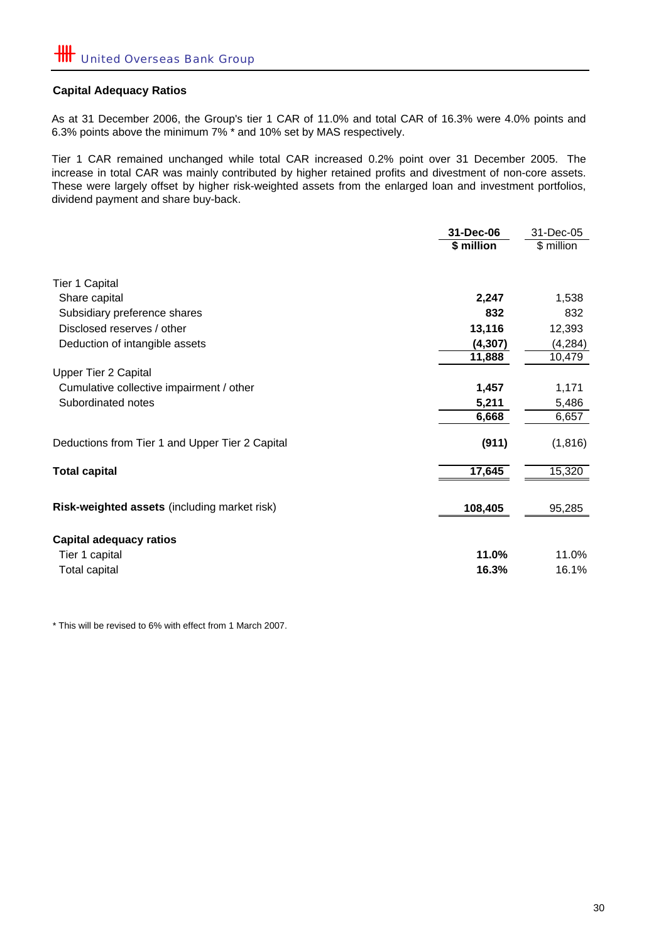## **Capital Adequacy Ratios**

As at 31 December 2006, the Group's tier 1 CAR of 11.0% and total CAR of 16.3% were 4.0% points and 6.3% points above the minimum 7% \* and 10% set by MAS respectively.

Tier 1 CAR remained unchanged while total CAR increased 0.2% point over 31 December 2005. The increase in total CAR was mainly contributed by higher retained profits and divestment of non-core assets. These were largely offset by higher risk-weighted assets from the enlarged loan and investment portfolios, dividend payment and share buy-back.

|                                                 | 31-Dec-06  | 31-Dec-05  |  |
|-------------------------------------------------|------------|------------|--|
|                                                 | \$ million | \$ million |  |
| <b>Tier 1 Capital</b>                           |            |            |  |
| Share capital                                   | 2,247      | 1,538      |  |
| Subsidiary preference shares                    | 832        | 832        |  |
| Disclosed reserves / other                      | 13,116     | 12,393     |  |
| Deduction of intangible assets                  | (4, 307)   | (4, 284)   |  |
|                                                 | 11,888     | 10,479     |  |
| <b>Upper Tier 2 Capital</b>                     |            |            |  |
| Cumulative collective impairment / other        | 1,457      | 1,171      |  |
| Subordinated notes                              | 5,211      | 5,486      |  |
|                                                 | 6,668      | 6,657      |  |
| Deductions from Tier 1 and Upper Tier 2 Capital | (911)      | (1, 816)   |  |
| <b>Total capital</b>                            | 17,645     | 15,320     |  |
| Risk-weighted assets (including market risk)    | 108,405    | 95,285     |  |
| <b>Capital adequacy ratios</b>                  |            |            |  |
| Tier 1 capital                                  | 11.0%      | 11.0%      |  |
| Total capital                                   | 16.3%      | 16.1%      |  |

\* This will be revised to 6% with effect from 1 March 2007.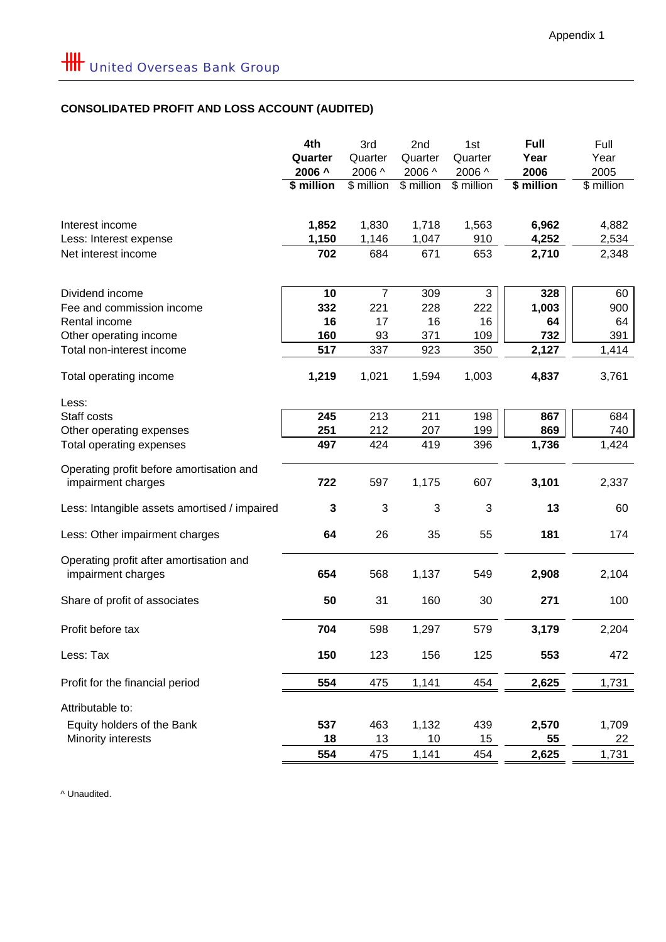## **CONSOLIDATED PROFIT AND LOSS ACCOUNT (AUDITED)**

|                                                                | 4th<br>Quarter<br>2006 ^<br>\$ million | 3rd<br>Quarter<br>2006 ^<br>\$ million | 2nd<br>Quarter<br>2006 ^<br>\$ million | 1st<br>Quarter<br>2006 ^<br>\$ million | Full<br>Year<br>2006<br>\$ million | Full<br>Year<br>2005<br>\$ million |
|----------------------------------------------------------------|----------------------------------------|----------------------------------------|----------------------------------------|----------------------------------------|------------------------------------|------------------------------------|
| Interest income<br>Less: Interest expense                      | 1,852<br>1,150                         | 1,830<br>1,146                         | 1,718<br>1,047                         | 1,563<br>910                           | 6,962<br>4,252                     | 4,882<br>2,534                     |
| Net interest income                                            | 702                                    | 684                                    | 671                                    | 653                                    | 2,710                              | 2,348                              |
| Dividend income                                                | 10                                     | $\overline{7}$                         | 309                                    | $\sqrt{3}$                             | 328                                | 60                                 |
| Fee and commission income                                      | 332                                    | 221                                    | 228                                    | 222                                    | 1,003                              | 900                                |
| Rental income                                                  | 16<br>160                              | 17<br>93                               | 16                                     | 16                                     | 64                                 | 64                                 |
| Other operating income<br>Total non-interest income            | 517                                    | 337                                    | 371<br>923                             | 109<br>350                             | 732<br>2,127                       | 391<br>1,414                       |
|                                                                |                                        |                                        |                                        |                                        |                                    |                                    |
| Total operating income                                         | 1,219                                  | 1,021                                  | 1,594                                  | 1,003                                  | 4,837                              | 3,761                              |
| Less:                                                          |                                        |                                        |                                        |                                        |                                    |                                    |
| Staff costs                                                    | 245                                    | 213                                    | 211                                    | 198                                    | 867                                | 684                                |
| Other operating expenses                                       | 251                                    | 212                                    | 207                                    | 199                                    | 869                                | 740                                |
| Total operating expenses                                       | 497                                    | 424                                    | 419                                    | 396                                    | 1,736                              | 1,424                              |
| Operating profit before amortisation and<br>impairment charges | 722                                    | 597                                    | 1,175                                  | 607                                    | 3,101                              | 2,337                              |
| Less: Intangible assets amortised / impaired                   | 3                                      | 3                                      | 3                                      | 3                                      | 13                                 | 60                                 |
| Less: Other impairment charges                                 | 64                                     | 26                                     | 35                                     | 55                                     | 181                                | 174                                |
| Operating profit after amortisation and<br>impairment charges  | 654                                    | 568                                    | 1,137                                  | 549                                    | 2,908                              | 2,104                              |
| Share of profit of associates                                  | 50                                     | 31                                     | 160                                    | 30                                     | 271                                | 100                                |
| Profit before tax                                              | 704                                    | 598                                    | 1,297                                  | 579                                    | 3,179                              | 2,204                              |
| Less: Tax                                                      | 150                                    | 123                                    | 156                                    | 125                                    | 553                                | 472                                |
| Profit for the financial period                                | 554                                    | 475                                    | 1,141                                  | 454                                    | 2,625                              | 1,731                              |
| Attributable to:                                               |                                        |                                        |                                        |                                        |                                    |                                    |
| Equity holders of the Bank                                     | 537                                    | 463                                    | 1,132                                  | 439                                    | 2,570                              | 1,709                              |
| Minority interests                                             | 18                                     | 13                                     | 10                                     | 15                                     | 55                                 | 22                                 |
|                                                                | 554                                    | 475                                    | 1,141                                  | 454                                    | 2,625                              | 1,731                              |

^ Unaudited.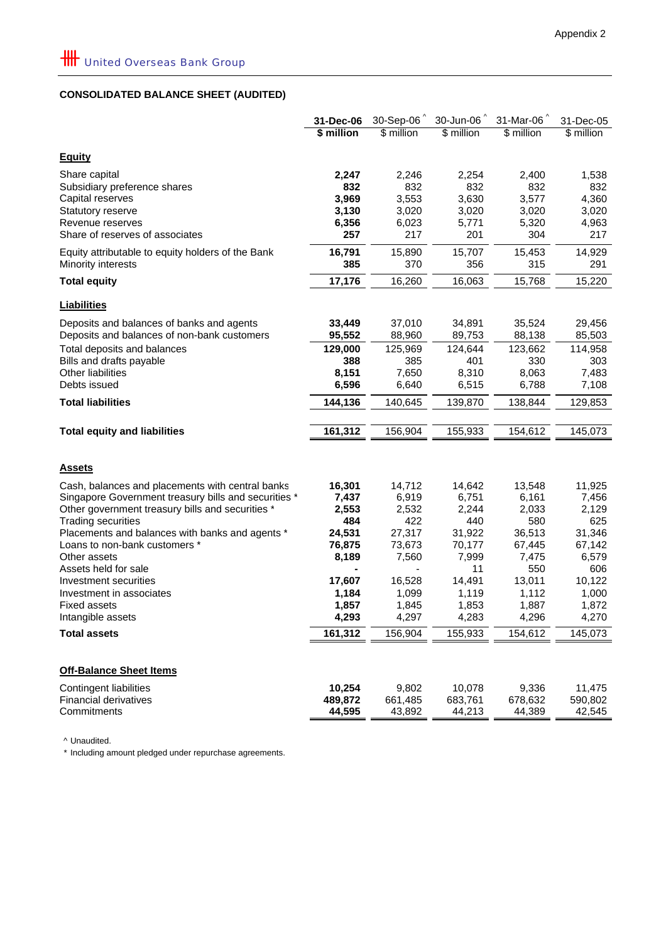## **CONSOLIDATED BALANCE SHEET (AUDITED)**

|                                                                               | 31-Dec-06    | 30-Sep-06    | 30-Jun-06    | 31-Mar-06    | 31-Dec-05    |
|-------------------------------------------------------------------------------|--------------|--------------|--------------|--------------|--------------|
|                                                                               | \$ million   | \$ million   | \$ million   | \$ million   | \$ million   |
| <b>Equity</b>                                                                 |              |              |              |              |              |
| Share capital                                                                 |              |              |              |              |              |
| Subsidiary preference shares                                                  | 2,247<br>832 | 2,246<br>832 | 2,254<br>832 | 2,400<br>832 | 1,538<br>832 |
| Capital reserves                                                              | 3,969        | 3,553        | 3,630        | 3,577        | 4,360        |
| Statutory reserve                                                             | 3,130        | 3,020        | 3,020        | 3,020        | 3,020        |
| Revenue reserves                                                              | 6,356        | 6,023        | 5,771        | 5,320        | 4,963        |
| Share of reserves of associates                                               | 257          | 217          | 201          | 304          | 217          |
| Equity attributable to equity holders of the Bank                             | 16,791       | 15,890       | 15,707       | 15,453       | 14,929       |
| Minority interests                                                            | 385          | 370          | 356          | 315          | 291          |
| <b>Total equity</b>                                                           | 17,176       | 16,260       | 16,063       | 15,768       | 15,220       |
| <b>Liabilities</b>                                                            |              |              |              |              |              |
| Deposits and balances of banks and agents                                     | 33,449       | 37,010       | 34,891       | 35,524       | 29,456       |
| Deposits and balances of non-bank customers                                   | 95,552       | 88,960       | 89,753       | 88,138       | 85,503       |
| Total deposits and balances                                                   | 129,000      | 125,969      | 124,644      | 123,662      | 114,958      |
| Bills and drafts payable                                                      | 388          | 385          | 401          | 330          | 303          |
| Other liabilities                                                             | 8,151        | 7,650        | 8,310        | 8,063        | 7,483        |
| Debts issued                                                                  | 6,596        | 6,640        | 6,515        | 6,788        | 7,108        |
| <b>Total liabilities</b>                                                      | 144,136      | 140,645      | 139,870      | 138,844      | 129,853      |
| <b>Total equity and liabilities</b>                                           | 161,312      | 156,904      | 155,933      | 154,612      | 145,073      |
|                                                                               |              |              |              |              |              |
|                                                                               |              |              |              |              |              |
| <b>Assets</b>                                                                 |              |              |              |              |              |
| Cash, balances and placements with central banks                              | 16,301       | 14,712       | 14,642       | 13,548       | 11,925       |
| Singapore Government treasury bills and securities *                          | 7,437        | 6,919        | 6,751        | 6,161        | 7,456        |
| Other government treasury bills and securities *<br><b>Trading securities</b> | 2,553<br>484 | 2,532<br>422 | 2,244<br>440 | 2,033<br>580 | 2,129<br>625 |
| Placements and balances with banks and agents *                               | 24,531       | 27,317       | 31,922       | 36,513       | 31,346       |
| Loans to non-bank customers *                                                 | 76,875       | 73,673       | 70,177       | 67,445       | 67,142       |
| Other assets                                                                  | 8,189        | 7,560        | 7,999        | 7,475        | 6,579        |
| Assets held for sale                                                          |              |              | 11           | 550          | 606          |
| Investment securities                                                         | 17,607       | 16,528       | 14,491       | 13,011       | 10,122       |
| Investment in associates                                                      | 1,184        | 1,099        | 1,119        | 1,112        | 1,000        |
| <b>Fixed assets</b>                                                           | 1,857        | 1,845        | 1,853        | 1,887        | 1,872        |
| Intangible assets                                                             | 4,293        | 4,297        | 4,283        | 4,296        | 4,270        |
| <b>Total assets</b>                                                           | 161,312      | 156,904      | 155,933      | 154,612      | 145,073      |
|                                                                               |              |              |              |              |              |
| <b>Off-Balance Sheet Items</b>                                                |              |              |              |              |              |
| Contingent liabilities                                                        | 10,254       | 9,802        | 10,078       | 9,336        | 11,475       |
| <b>Financial derivatives</b>                                                  | 489,872      | 661,485      | 683,761      | 678,632      | 590,802      |
| Commitments                                                                   | 44,595       | 43,892       | 44,213       | 44,389       | 42,545       |

^ Unaudited.

\* Including amount pledged under repurchase agreements.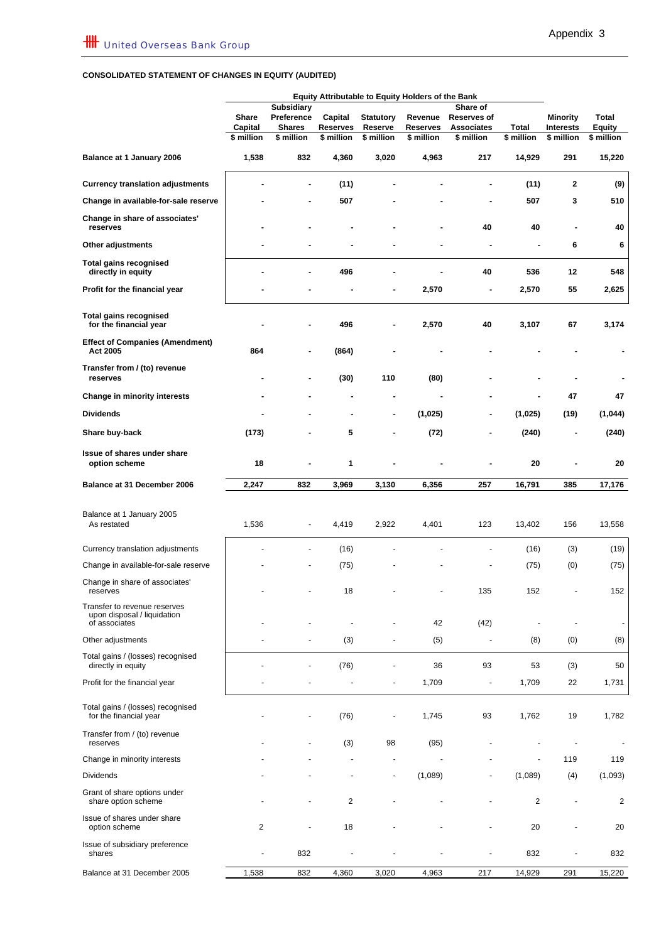#### **CONSOLIDATED STATEMENT OF CHANGES IN EQUITY (AUDITED)**

|                                                             | <b>Equity Attributable to Equity Holders of the Bank</b> |                             |                     |                             |                            |                                  |                |                                     |                        |
|-------------------------------------------------------------|----------------------------------------------------------|-----------------------------|---------------------|-----------------------------|----------------------------|----------------------------------|----------------|-------------------------------------|------------------------|
|                                                             |                                                          | <b>Subsidiary</b>           |                     |                             |                            | Share of                         |                |                                     |                        |
|                                                             | <b>Share</b><br>Capital                                  | Preference<br><b>Shares</b> | Capital<br>Reserves | <b>Statutory</b><br>Reserve | Revenue<br><b>Reserves</b> | <b>Reserves of</b><br>Associates | Total          | <b>Minority</b><br><b>Interests</b> | Total<br><b>Equity</b> |
|                                                             | \$ million                                               | \$ million                  | \$ million          | \$ million                  | \$ million                 | \$ million                       | \$ million     | \$ million                          | $$$ million            |
| Balance at 1 January 2006                                   | 1,538                                                    | 832                         | 4,360               | 3,020                       | 4,963                      | 217                              | 14,929         | 291                                 | 15,220                 |
| <b>Currency translation adjustments</b>                     |                                                          | ٠                           | (11)                |                             |                            | ä,                               | (11)           | $\mathbf{2}$                        | (9)                    |
| Change in available-for-sale reserve                        |                                                          |                             | 507                 |                             |                            |                                  | 507            | 3                                   | 510                    |
| Change in share of associates'<br>reserves                  |                                                          |                             |                     |                             |                            | 40                               | 40             |                                     | 40                     |
| Other adjustments                                           |                                                          |                             |                     |                             |                            |                                  | Ĭ.             | 6                                   | 6                      |
| <b>Total gains recognised</b><br>directly in equity         |                                                          | ٠                           | 496                 |                             |                            | 40                               | 536            | 12                                  | 548                    |
| Profit for the financial year                               |                                                          |                             |                     |                             | 2,570                      |                                  | 2,570          | 55                                  | 2,625                  |
| <b>Total gains recognised</b><br>for the financial year     |                                                          |                             | 496                 |                             | 2,570                      | 40                               | 3,107          | 67                                  | 3,174                  |
| <b>Effect of Companies (Amendment)</b><br>Act 2005          | 864                                                      | ٠                           | (864)               |                             |                            |                                  |                |                                     |                        |
| Transfer from / (to) revenue<br>reserves                    |                                                          | ۰                           | (30)                | 110                         | (80)                       |                                  |                | ٠                                   |                        |
| Change in minority interests                                |                                                          |                             |                     |                             |                            |                                  |                | 47                                  | 47                     |
| <b>Dividends</b>                                            |                                                          |                             |                     | ۰                           | (1,025)                    |                                  | (1,025)        | (19)                                | (1,044)                |
| Share buy-back                                              | (173)                                                    |                             | 5                   | ۰                           | (72)                       | $\blacksquare$                   | (240)          | $\blacksquare$                      | (240)                  |
| Issue of shares under share<br>option scheme                | 18                                                       |                             | 1                   |                             |                            |                                  | 20             |                                     | 20                     |
| Balance at 31 December 2006                                 | 2,247                                                    | 832                         | 3,969               | 3,130                       | 6,356                      | 257                              | 16,791         | 385                                 | 17,176                 |
|                                                             |                                                          |                             |                     |                             |                            |                                  |                |                                     |                        |
| Balance at 1 January 2005<br>As restated                    | 1,536                                                    | ٠                           | 4,419               | 2,922                       | 4,401                      | 123                              | 13,402         | 156                                 | 13,558                 |
| Currency translation adjustments                            |                                                          |                             | (16)                |                             |                            |                                  | (16)           | (3)                                 | (19)                   |
| Change in available-for-sale reserve                        |                                                          |                             | (75)                |                             |                            |                                  | (75)           | (0)                                 | (75)                   |
| Change in share of associates'<br>reserves                  |                                                          |                             | 18                  |                             |                            | 135                              | 152            |                                     | 152                    |
| Transfer to revenue reserves<br>upon disposal / liquidation |                                                          |                             |                     |                             |                            |                                  |                |                                     |                        |
| of associates                                               |                                                          |                             |                     |                             | 42                         | (42)                             |                |                                     |                        |
| Other adjustments<br>Total gains / (losses) recognised      |                                                          | ٠                           | (3)                 |                             | (5)                        | $\overline{\phantom{a}}$         | (8)            | (0)                                 | (8)                    |
| directly in equity                                          |                                                          |                             | (76)                |                             | 36                         | 93                               | 53             | (3)                                 | 50                     |
| Profit for the financial year                               |                                                          |                             |                     |                             | 1,709                      | $\overline{\phantom{a}}$         | 1,709          | 22                                  | 1,731                  |
| Total gains / (losses) recognised<br>for the financial year |                                                          |                             | (76)                |                             | 1,745                      | 93                               | 1,762          | 19                                  | 1,782                  |
| Transfer from / (to) revenue<br>reserves                    |                                                          |                             | (3)                 | 98                          | (95)                       |                                  |                |                                     |                        |
| Change in minority interests                                |                                                          |                             |                     |                             |                            |                                  | ÷,             | 119                                 | 119                    |
| <b>Dividends</b>                                            |                                                          |                             |                     |                             | (1,089)                    |                                  | (1,089)        | (4)                                 | (1,093)                |
| Grant of share options under<br>share option scheme         |                                                          | ÷,                          | 2                   |                             |                            |                                  | $\overline{2}$ | ٠                                   | 2                      |
| Issue of shares under share<br>option scheme                | $\overline{2}$                                           | ÷,                          | 18                  |                             |                            |                                  | 20             |                                     | 20                     |
| Issue of subsidiary preference<br>shares                    |                                                          | 832                         |                     |                             |                            |                                  | 832            |                                     | 832                    |
| Balance at 31 December 2005                                 | 1,538                                                    | 832                         | 4,360               | 3,020                       | 4,963                      | 217                              | 14,929         | 291                                 | 15,220                 |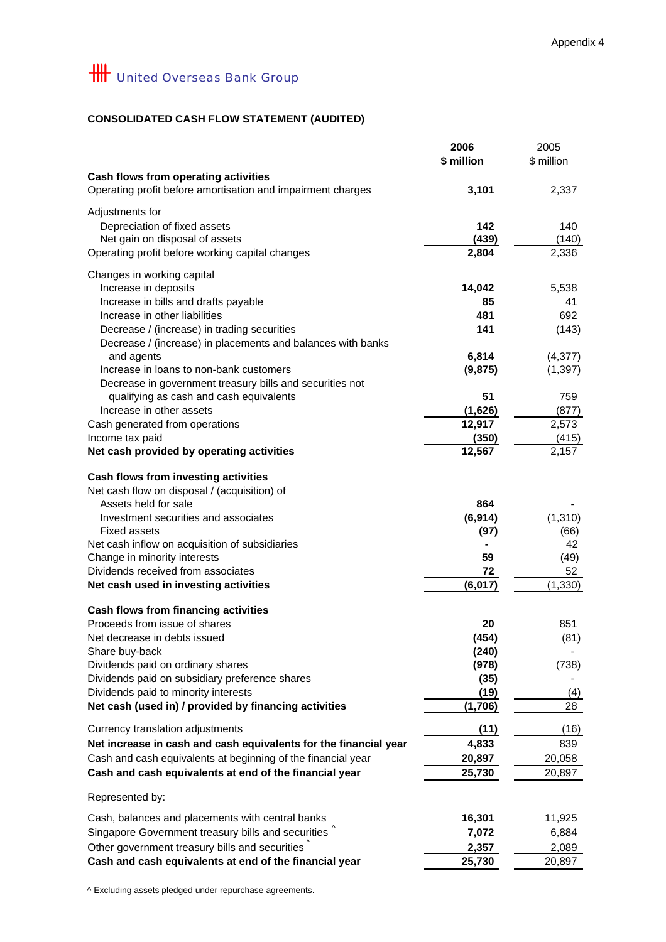## **CONSOLIDATED CASH FLOW STATEMENT (AUDITED)**

|                                                                  | 2006       | 2005       |
|------------------------------------------------------------------|------------|------------|
|                                                                  | \$ million | \$ million |
| Cash flows from operating activities                             |            |            |
| Operating profit before amortisation and impairment charges      | 3,101      | 2,337      |
|                                                                  |            |            |
| Adjustments for                                                  |            |            |
| Depreciation of fixed assets                                     | 142        | 140        |
| Net gain on disposal of assets                                   | (439)      | (140)      |
| Operating profit before working capital changes                  | 2,804      | 2,336      |
|                                                                  |            |            |
| Changes in working capital                                       |            |            |
| Increase in deposits                                             | 14,042     | 5,538      |
| Increase in bills and drafts payable                             | 85         | 41         |
| Increase in other liabilities                                    | 481        | 692        |
| Decrease / (increase) in trading securities                      | 141        | (143)      |
| Decrease / (increase) in placements and balances with banks      |            |            |
| and agents                                                       | 6,814      | (4, 377)   |
| Increase in loans to non-bank customers                          | (9, 875)   | (1, 397)   |
| Decrease in government treasury bills and securities not         |            |            |
| qualifying as cash and cash equivalents                          | 51         | 759        |
| Increase in other assets                                         | (1,626)    | (877)      |
| Cash generated from operations                                   | 12,917     | 2,573      |
| Income tax paid                                                  | (350)      | (415)      |
| Net cash provided by operating activities                        | 12,567     | 2,157      |
|                                                                  |            |            |
| Cash flows from investing activities                             |            |            |
| Net cash flow on disposal / (acquisition) of                     |            |            |
| Assets held for sale                                             | 864        |            |
| Investment securities and associates                             | (6, 914)   | (1,310)    |
| <b>Fixed assets</b>                                              | (97)       | (66)       |
| Net cash inflow on acquisition of subsidiaries                   |            | 42         |
| Change in minority interests                                     | 59         | (49)       |
| Dividends received from associates                               | 72         | 52         |
| Net cash used in investing activities                            | (6, 017)   | (1, 330)   |
|                                                                  |            |            |
| Cash flows from financing activities                             |            |            |
| Proceeds from issue of shares                                    | 20         | 851        |
| Net decrease in debts issued                                     | (454)      | (81)       |
| Share buy-back                                                   | (240)      |            |
| Dividends paid on ordinary shares                                | (978)      | (738)      |
| Dividends paid on subsidiary preference shares                   | (35)       |            |
| Dividends paid to minority interests                             | (19)       | (4)        |
| Net cash (used in) / provided by financing activities            | (1,706)    | 28         |
|                                                                  |            |            |
| Currency translation adjustments                                 | (11)       | (16)       |
| Net increase in cash and cash equivalents for the financial year | 4,833      | 839        |
| Cash and cash equivalents at beginning of the financial year     | 20,897     | 20,058     |
| Cash and cash equivalents at end of the financial year           | 25,730     | 20,897     |
|                                                                  |            |            |
| Represented by:                                                  |            |            |
| Cash, balances and placements with central banks                 | 16,301     | 11,925     |
| Singapore Government treasury bills and securities               | 7,072      | 6,884      |
| Other government treasury bills and securities $\hat{ }$         | 2,357      | 2,089      |
| Cash and cash equivalents at end of the financial year           | 25,730     | 20,897     |
|                                                                  |            |            |

^ Excluding assets pledged under repurchase agreements.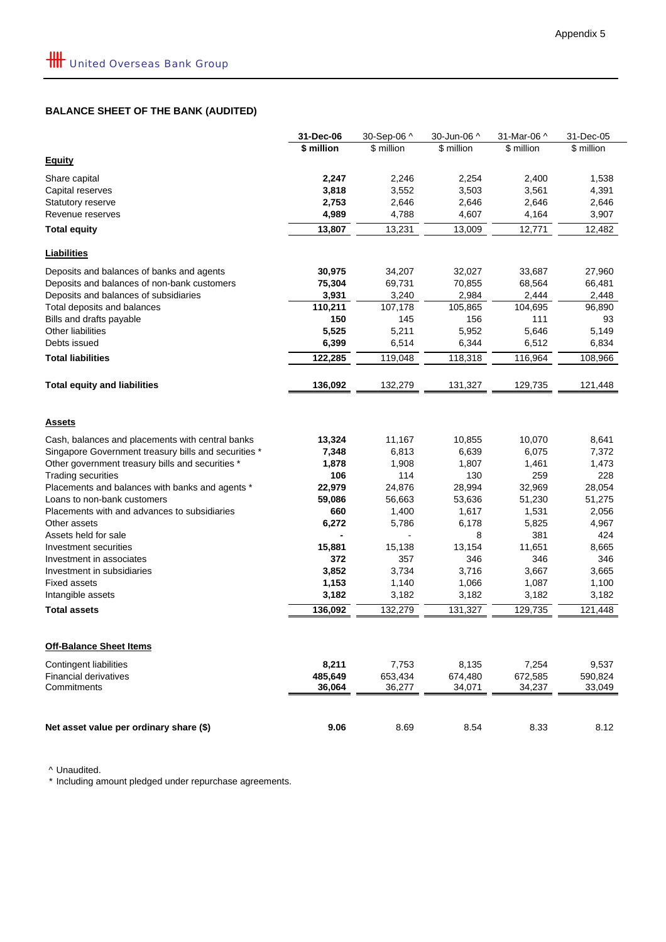## **BALANCE SHEET OF THE BANK (AUDITED)**

|                                                      | 31-Dec-06        | 30-Sep-06 ^              | 30-Jun-06 ^    | 31-Mar-06 ^      | 31-Dec-05        |
|------------------------------------------------------|------------------|--------------------------|----------------|------------------|------------------|
|                                                      | \$ million       | \$ million               | \$ million     | \$ million       | \$ million       |
| <b>Equity</b>                                        |                  |                          |                |                  |                  |
| Share capital                                        | 2,247            | 2,246                    | 2,254          | 2,400            | 1,538            |
| Capital reserves                                     | 3,818            | 3,552                    | 3,503          | 3,561            | 4,391            |
| <b>Statutory reserve</b>                             | 2,753            | 2,646                    | 2,646          | 2,646            | 2,646            |
| Revenue reserves                                     | 4,989            | 4,788                    | 4,607          | 4,164            | 3,907            |
| <b>Total equity</b>                                  | 13,807           | 13,231                   | 13,009         | 12,771           | 12,482           |
|                                                      |                  |                          |                |                  |                  |
| Liabilities                                          |                  |                          |                |                  |                  |
| Deposits and balances of banks and agents            | 30,975           | 34,207                   | 32,027         | 33,687           | 27,960           |
| Deposits and balances of non-bank customers          | 75,304           | 69,731                   | 70,855         | 68,564           | 66,481           |
| Deposits and balances of subsidiaries                | 3,931            | 3,240                    | 2,984          | 2,444            | 2,448            |
| Total deposits and balances                          | 110,211          | 107,178                  | 105,865        | 104,695          | 96,890           |
| Bills and drafts payable                             | 150              | 145                      | 156            | 111              | 93               |
| Other liabilities                                    | 5,525            | 5,211                    | 5,952          | 5,646            | 5,149            |
| Debts issued                                         | 6,399            | 6,514                    | 6,344          | 6,512            | 6,834            |
| <b>Total liabilities</b>                             | 122,285          | 119,048                  | 118,318        | 116,964          | 108,966          |
| <b>Total equity and liabilities</b>                  | 136,092          | 132,279                  | 131,327        | 129,735          | 121,448          |
|                                                      |                  |                          |                |                  |                  |
| <b>Assets</b>                                        |                  |                          |                |                  |                  |
| Cash, balances and placements with central banks     | 13,324           | 11,167                   | 10,855         | 10,070           | 8,641            |
| Singapore Government treasury bills and securities * | 7,348            | 6,813                    | 6,639          | 6,075            | 7,372            |
| Other government treasury bills and securities *     | 1,878            | 1,908                    | 1,807          | 1,461            | 1,473            |
| <b>Trading securities</b>                            | 106              | 114                      | 130            | 259              | 228              |
| Placements and balances with banks and agents *      | 22,979           | 24,876                   | 28,994         | 32,969           | 28,054           |
| Loans to non-bank customers                          | 59,086           | 56,663                   | 53,636         | 51,230           | 51,275           |
| Placements with and advances to subsidiaries         | 660              | 1,400                    | 1,617          | 1,531            | 2,056            |
| Other assets                                         | 6,272            | 5,786                    | 6,178          | 5,825            | 4,967            |
| Assets held for sale                                 |                  | $\overline{\phantom{0}}$ | 8              | 381              | 424              |
| Investment securities                                | 15,881           | 15,138                   | 13,154         | 11,651           | 8,665            |
| Investment in associates                             | 372              | 357                      | 346            | 346              | 346              |
| Investment in subsidiaries                           | 3,852            | 3,734                    | 3,716          | 3,667            | 3,665            |
| <b>Fixed assets</b>                                  | 1,153            | 1,140                    | 1,066<br>3,182 | 1,087            | 1,100            |
| Intangible assets<br><b>Total assets</b>             | 3,182<br>136,092 | 3,182<br>132,279         | 131,327        | 3,182<br>129,735 | 3,182<br>121,448 |
|                                                      |                  |                          |                |                  |                  |
| <b>Off-Balance Sheet Items</b>                       |                  |                          |                |                  |                  |
| Contingent liabilities                               | 8,211            | 7,753                    | 8,135          | 7,254            | 9,537            |
| <b>Financial derivatives</b>                         | 485,649          | 653,434                  | 674,480        | 672,585          | 590,824          |
| Commitments                                          | 36,064           | 36,277                   | 34,071         | 34,237           | 33,049           |
|                                                      |                  |                          |                |                  |                  |
| Net asset value per ordinary share (\$)              | 9.06             | 8.69                     | 8.54           | 8.33             | 8.12             |

^ Unaudited.

\* Including amount pledged under repurchase agreements.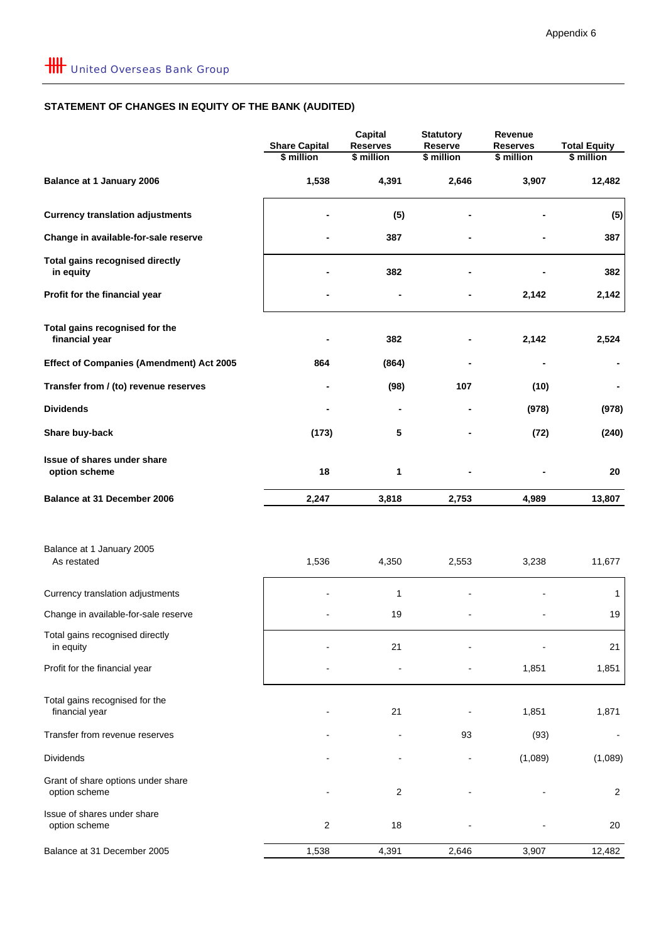## **STATEMENT OF CHANGES IN EQUITY OF THE BANK (AUDITED)**

|                                                     | <b>Share Capital</b><br>\$ million | <b>Capital</b><br><b>Reserves</b><br>\$ million | <b>Statutory</b><br>Reserve<br>\$ million | Revenue<br><b>Reserves</b><br>\$ million | <b>Total Equity</b><br>\$ million |
|-----------------------------------------------------|------------------------------------|-------------------------------------------------|-------------------------------------------|------------------------------------------|-----------------------------------|
| <b>Balance at 1 January 2006</b>                    | 1,538                              | 4,391                                           | 2,646                                     | 3,907                                    | 12,482                            |
| <b>Currency translation adjustments</b>             |                                    | (5)                                             |                                           |                                          | (5)                               |
| Change in available-for-sale reserve                |                                    | 387                                             |                                           |                                          | 387                               |
| <b>Total gains recognised directly</b><br>in equity |                                    | 382                                             |                                           |                                          | 382                               |
| Profit for the financial year                       |                                    |                                                 |                                           | 2,142                                    | 2,142                             |
| Total gains recognised for the<br>financial year    |                                    | 382                                             |                                           | 2,142                                    | 2,524                             |
| <b>Effect of Companies (Amendment) Act 2005</b>     | 864                                | (864)                                           |                                           |                                          |                                   |
| Transfer from / (to) revenue reserves               |                                    | (98)                                            | 107                                       | (10)                                     |                                   |
| <b>Dividends</b>                                    |                                    |                                                 |                                           | (978)                                    | (978)                             |
| Share buy-back                                      | (173)                              | 5                                               |                                           | (72)                                     | (240)                             |
| Issue of shares under share<br>option scheme        | 18                                 | 1                                               |                                           |                                          | 20                                |
| Balance at 31 December 2006                         | 2,247                              | 3,818                                           | 2,753                                     | 4,989                                    | 13,807                            |
| Balance at 1 January 2005<br>As restated            | 1,536                              | 4,350                                           | 2,553                                     | 3,238                                    | 11,677                            |
| Currency translation adjustments                    |                                    | $\mathbf{1}$                                    |                                           |                                          | $\mathbf{1}$                      |
| Change in available-for-sale reserve                |                                    | 19                                              |                                           |                                          | 19                                |
| Total gains recognised directly<br>in equity        |                                    | 21                                              |                                           |                                          | 21                                |
| Profit for the financial year                       |                                    |                                                 |                                           | 1,851                                    | 1,851                             |
| Total gains recognised for the<br>financial year    |                                    | 21                                              |                                           | 1,851                                    | 1,871                             |
| Transfer from revenue reserves                      |                                    |                                                 | 93                                        | (93)                                     |                                   |
| Dividends                                           |                                    |                                                 |                                           | (1,089)                                  | (1,089)                           |
| Grant of share options under share<br>option scheme |                                    | $\overline{c}$                                  |                                           |                                          | $\overline{c}$                    |
| Issue of shares under share<br>option scheme        | $\boldsymbol{2}$                   | 18                                              |                                           |                                          | 20                                |
| Balance at 31 December 2005                         | 1,538                              | 4,391                                           | 2,646                                     | 3,907                                    | 12,482                            |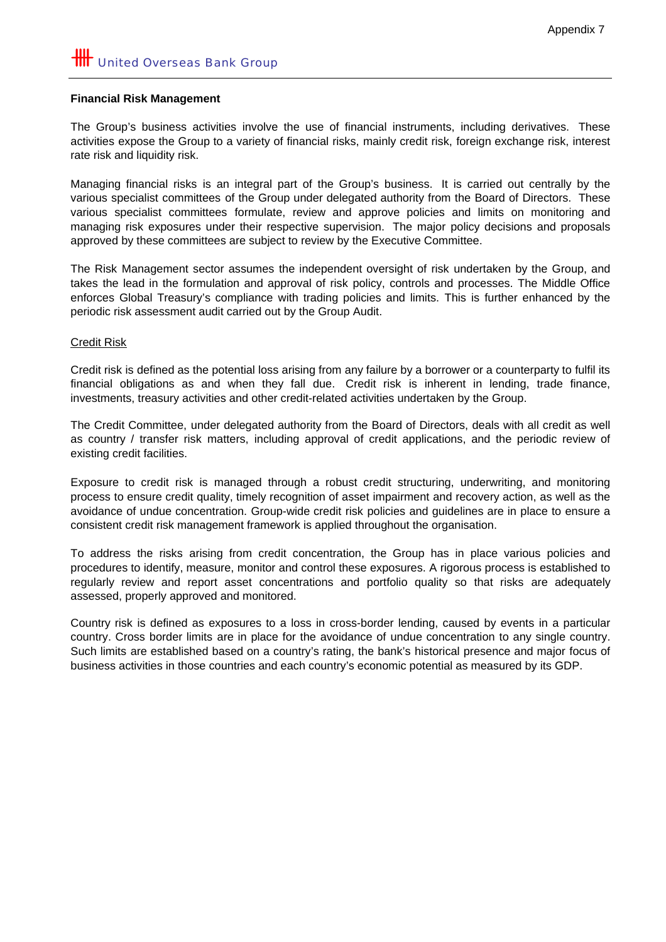#### **Financial Risk Management**

The Group's business activities involve the use of financial instruments, including derivatives. These activities expose the Group to a variety of financial risks, mainly credit risk, foreign exchange risk, interest rate risk and liquidity risk.

Managing financial risks is an integral part of the Group's business. It is carried out centrally by the various specialist committees of the Group under delegated authority from the Board of Directors. These various specialist committees formulate, review and approve policies and limits on monitoring and managing risk exposures under their respective supervision. The major policy decisions and proposals approved by these committees are subject to review by the Executive Committee.

The Risk Management sector assumes the independent oversight of risk undertaken by the Group, and takes the lead in the formulation and approval of risk policy, controls and processes. The Middle Office enforces Global Treasury's compliance with trading policies and limits. This is further enhanced by the periodic risk assessment audit carried out by the Group Audit.

### Credit Risk

Credit risk is defined as the potential loss arising from any failure by a borrower or a counterparty to fulfil its financial obligations as and when they fall due. Credit risk is inherent in lending, trade finance, investments, treasury activities and other credit-related activities undertaken by the Group.

The Credit Committee, under delegated authority from the Board of Directors, deals with all credit as well as country / transfer risk matters, including approval of credit applications, and the periodic review of existing credit facilities.

Exposure to credit risk is managed through a robust credit structuring, underwriting, and monitoring process to ensure credit quality, timely recognition of asset impairment and recovery action, as well as the avoidance of undue concentration. Group-wide credit risk policies and guidelines are in place to ensure a consistent credit risk management framework is applied throughout the organisation.

To address the risks arising from credit concentration, the Group has in place various policies and procedures to identify, measure, monitor and control these exposures. A rigorous process is established to regularly review and report asset concentrations and portfolio quality so that risks are adequately assessed, properly approved and monitored.

Country risk is defined as exposures to a loss in cross-border lending, caused by events in a particular country. Cross border limits are in place for the avoidance of undue concentration to any single country. Such limits are established based on a country's rating, the bank's historical presence and major focus of business activities in those countries and each country's economic potential as measured by its GDP.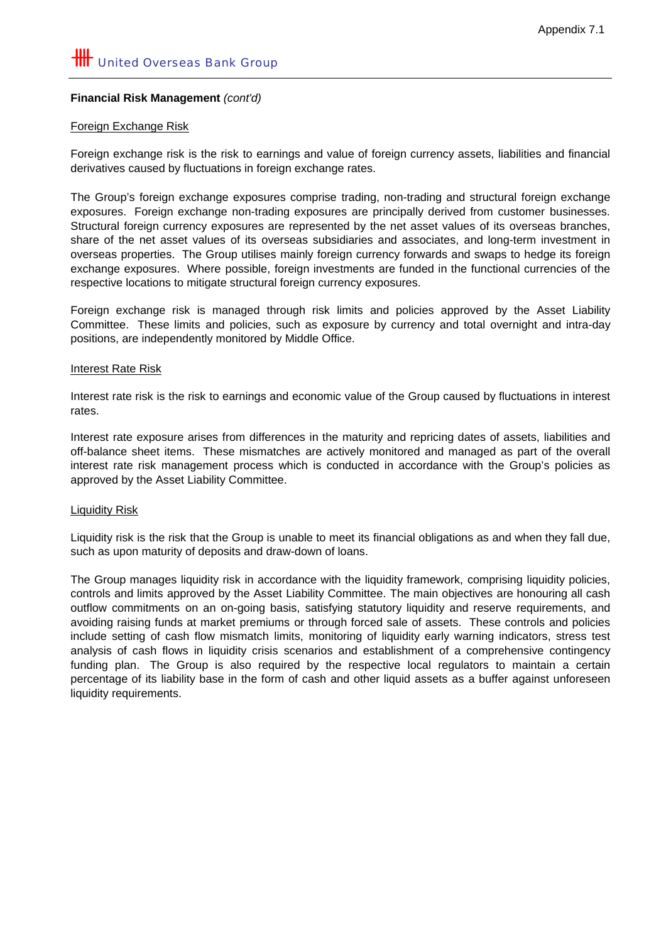#### **Financial Risk Management** *(cont'd)*

#### Foreign Exchange Risk

Foreign exchange risk is the risk to earnings and value of foreign currency assets, liabilities and financial derivatives caused by fluctuations in foreign exchange rates.

The Group's foreign exchange exposures comprise trading, non-trading and structural foreign exchange exposures. Foreign exchange non-trading exposures are principally derived from customer businesses. Structural foreign currency exposures are represented by the net asset values of its overseas branches, share of the net asset values of its overseas subsidiaries and associates, and long-term investment in overseas properties. The Group utilises mainly foreign currency forwards and swaps to hedge its foreign exchange exposures. Where possible, foreign investments are funded in the functional currencies of the respective locations to mitigate structural foreign currency exposures.

Foreign exchange risk is managed through risk limits and policies approved by the Asset Liability Committee. These limits and policies, such as exposure by currency and total overnight and intra-day positions, are independently monitored by Middle Office.

#### Interest Rate Risk

Interest rate risk is the risk to earnings and economic value of the Group caused by fluctuations in interest rates.

Interest rate exposure arises from differences in the maturity and repricing dates of assets, liabilities and off-balance sheet items. These mismatches are actively monitored and managed as part of the overall interest rate risk management process which is conducted in accordance with the Group's policies as approved by the Asset Liability Committee.

#### Liquidity Risk

Liquidity risk is the risk that the Group is unable to meet its financial obligations as and when they fall due, such as upon maturity of deposits and draw-down of loans.

The Group manages liquidity risk in accordance with the liquidity framework, comprising liquidity policies, controls and limits approved by the Asset Liability Committee. The main objectives are honouring all cash outflow commitments on an on-going basis, satisfying statutory liquidity and reserve requirements, and avoiding raising funds at market premiums or through forced sale of assets. These controls and policies include setting of cash flow mismatch limits, monitoring of liquidity early warning indicators, stress test analysis of cash flows in liquidity crisis scenarios and establishment of a comprehensive contingency funding plan. The Group is also required by the respective local regulators to maintain a certain percentage of its liability base in the form of cash and other liquid assets as a buffer against unforeseen liquidity requirements.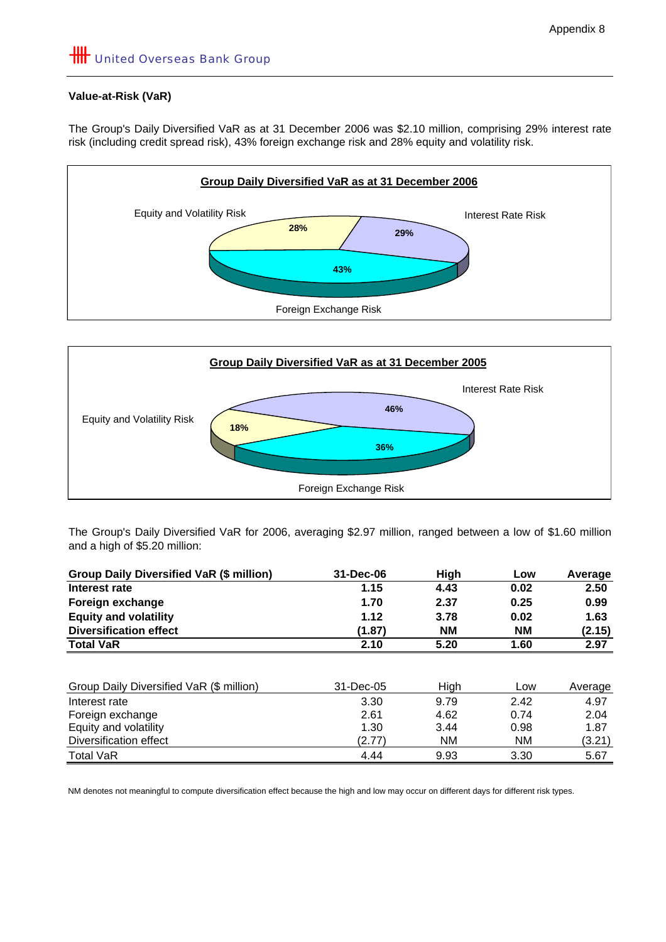# **HILL** United Overseas Bank Group

### **Value-at-Risk (VaR)**

The Group's Daily Diversified VaR as at 31 December 2006 was \$2.10 million, comprising 29% interest rate risk (including credit spread risk), 43% foreign exchange risk and 28% equity and volatility risk.





The Group's Daily Diversified VaR for 2006, averaging \$2.97 million, ranged between a low of \$1.60 million and a high of \$5.20 million:

| Group Daily Diversified VaR (\$ million) | 31-Dec-06 | High      | Low       | Average |
|------------------------------------------|-----------|-----------|-----------|---------|
| Interest rate                            | 1.15      | 4.43      | 0.02      | 2.50    |
| Foreign exchange                         | 1.70      | 2.37      | 0.25      | 0.99    |
| <b>Equity and volatility</b>             | 1.12      | 3.78      | 0.02      | 1.63    |
| <b>Diversification effect</b>            | (1.87)    | <b>NM</b> | <b>NM</b> | (2.15)  |
| <b>Total VaR</b>                         | 2.10      | 5.20      | 1.60      | 2.97    |
|                                          |           |           |           |         |
| Group Daily Diversified VaR (\$ million) | 31-Dec-05 | High      | Low       | Average |
| Interest rate                            | 3.30      | 9.79      | 2.42      | 4.97    |
| Foreign exchange                         | 2.61      | 4.62      | 0.74      | 2.04    |
| Equity and volatility                    | 1.30      | 3.44      | 0.98      | 1.87    |
| Diversification effect                   | (2.77)    | <b>NM</b> | NM.       | (3.21)  |
| <b>Total VaR</b>                         | 4.44      | 9.93      | 3.30      | 5.67    |

NM denotes not meaningful to compute diversification effect because the high and low may occur on different days for different risk types.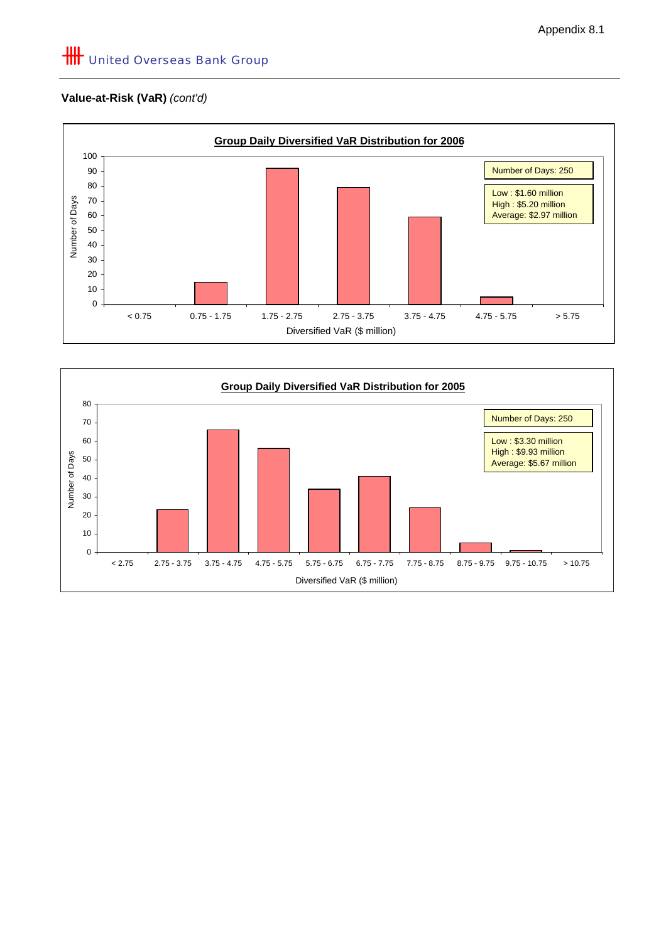## **Value-at-Risk (VaR)** *(cont'd)*



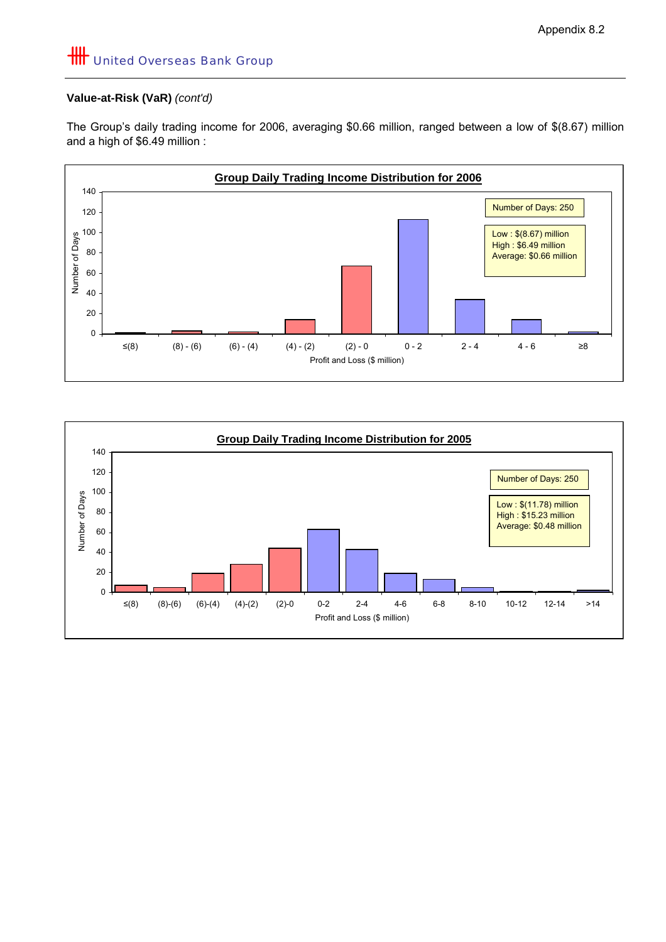### **Value-at-Risk (VaR)** *(cont'd)*

The Group's daily trading income for 2006, averaging \$0.66 million, ranged between a low of \$(8.67) million and a high of \$6.49 million :